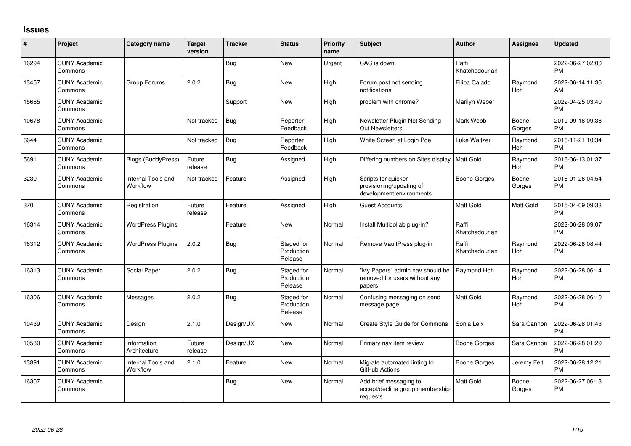## **Issues**

| #     | Project                         | <b>Category name</b>           | <b>Target</b><br>version | <b>Tracker</b> | <b>Status</b>                       | Priority<br>name | Subject                                                                     | <b>Author</b>           | <b>Assignee</b> | <b>Updated</b>                |
|-------|---------------------------------|--------------------------------|--------------------------|----------------|-------------------------------------|------------------|-----------------------------------------------------------------------------|-------------------------|-----------------|-------------------------------|
| 16294 | <b>CUNY Academic</b><br>Commons |                                |                          | <b>Bug</b>     | <b>New</b>                          | Urgent           | CAC is down                                                                 | Raffi<br>Khatchadourian |                 | 2022-06-27 02:00<br><b>PM</b> |
| 13457 | <b>CUNY Academic</b><br>Commons | Group Forums                   | 2.0.2                    | Bug            | New                                 | High             | Forum post not sending<br>notifications                                     | Filipa Calado           | Raymond<br>Hoh  | 2022-06-14 11:36<br>AM        |
| 15685 | <b>CUNY Academic</b><br>Commons |                                |                          | Support        | <b>New</b>                          | High             | problem with chrome?                                                        | Marilyn Weber           |                 | 2022-04-25 03:40<br><b>PM</b> |
| 10678 | <b>CUNY Academic</b><br>Commons |                                | Not tracked              | Bug            | Reporter<br>Feedback                | High             | Newsletter Plugin Not Sending<br><b>Out Newsletters</b>                     | Mark Webb               | Boone<br>Gorges | 2019-09-16 09:38<br><b>PM</b> |
| 6644  | <b>CUNY Academic</b><br>Commons |                                | Not tracked              | Bug            | Reporter<br>Feedback                | High             | White Screen at Login Pge                                                   | Luke Waltzer            | Raymond<br>Hoh  | 2016-11-21 10:34<br><b>PM</b> |
| 5691  | <b>CUNY Academic</b><br>Commons | <b>Blogs (BuddyPress)</b>      | Future<br>release        | Bug            | Assigned                            | High             | Differing numbers on Sites display   Matt Gold                              |                         | Raymond<br>Hoh  | 2016-06-13 01:37<br><b>PM</b> |
| 3230  | <b>CUNY Academic</b><br>Commons | Internal Tools and<br>Workflow | Not tracked              | Feature        | Assigned                            | High             | Scripts for quicker<br>provisioning/updating of<br>development environments | <b>Boone Gorges</b>     | Boone<br>Gorges | 2016-01-26 04:54<br><b>PM</b> |
| 370   | <b>CUNY Academic</b><br>Commons | Registration                   | Future<br>release        | Feature        | Assigned                            | High             | <b>Guest Accounts</b>                                                       | <b>Matt Gold</b>        | Matt Gold       | 2015-04-09 09:33<br><b>PM</b> |
| 16314 | <b>CUNY Academic</b><br>Commons | <b>WordPress Plugins</b>       |                          | Feature        | New                                 | Normal           | Install Multicollab plug-in?                                                | Raffi<br>Khatchadourian |                 | 2022-06-28 09:07<br><b>PM</b> |
| 16312 | <b>CUNY Academic</b><br>Commons | <b>WordPress Plugins</b>       | 2.0.2                    | <b>Bug</b>     | Staged for<br>Production<br>Release | Normal           | Remove VaultPress plug-in                                                   | Raffi<br>Khatchadourian | Raymond<br>Hoh  | 2022-06-28 08:44<br>PM        |
| 16313 | <b>CUNY Academic</b><br>Commons | Social Paper                   | 2.0.2                    | Bug            | Staged for<br>Production<br>Release | Normal           | "My Papers" admin nav should be<br>removed for users without any<br>papers  | Raymond Hoh             | Raymond<br>Hoh  | 2022-06-28 06:14<br><b>PM</b> |
| 16306 | <b>CUNY Academic</b><br>Commons | Messages                       | 2.0.2                    | Bug            | Staged for<br>Production<br>Release | Normal           | Confusing messaging on send<br>message page                                 | Matt Gold               | Raymond<br>Hoh  | 2022-06-28 06:10<br><b>PM</b> |
| 10439 | <b>CUNY Academic</b><br>Commons | Design                         | 2.1.0                    | Design/UX      | <b>New</b>                          | Normal           | Create Style Guide for Commons                                              | Sonja Leix              | Sara Cannon     | 2022-06-28 01:43<br><b>PM</b> |
| 10580 | <b>CUNY Academic</b><br>Commons | Information<br>Architecture    | Future<br>release        | Design/UX      | <b>New</b>                          | Normal           | Primary nav item review                                                     | Boone Gorges            | Sara Cannon     | 2022-06-28 01:29<br><b>PM</b> |
| 13891 | <b>CUNY Academic</b><br>Commons | Internal Tools and<br>Workflow | 2.1.0                    | Feature        | New                                 | Normal           | Migrate automated linting to<br>GitHub Actions                              | <b>Boone Gorges</b>     | Jeremy Felt     | 2022-06-28 12:21<br><b>PM</b> |
| 16307 | <b>CUNY Academic</b><br>Commons |                                |                          | <b>Bug</b>     | <b>New</b>                          | Normal           | Add brief messaging to<br>accept/decline group membership<br>requests       | <b>Matt Gold</b>        | Boone<br>Gorges | 2022-06-27 06:13<br><b>PM</b> |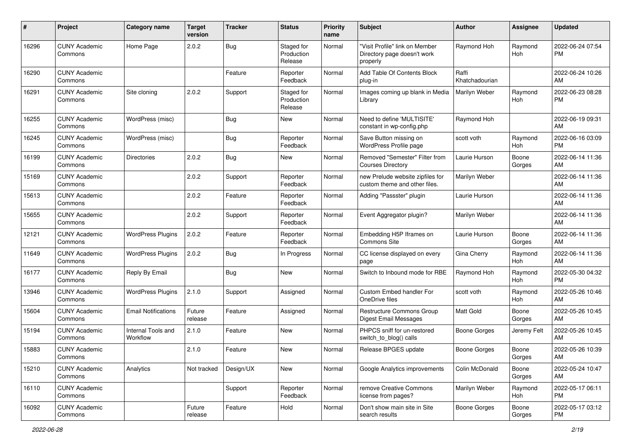| #     | Project                         | Category name                  | <b>Target</b><br>version | <b>Tracker</b> | <b>Status</b>                       | <b>Priority</b><br>name | Subject                                                                   | <b>Author</b>           | <b>Assignee</b> | <b>Updated</b>                |
|-------|---------------------------------|--------------------------------|--------------------------|----------------|-------------------------------------|-------------------------|---------------------------------------------------------------------------|-------------------------|-----------------|-------------------------------|
| 16296 | <b>CUNY Academic</b><br>Commons | Home Page                      | 2.0.2                    | Bug            | Staged for<br>Production<br>Release | Normal                  | "Visit Profile" link on Member<br>Directory page doesn't work<br>properly | Raymond Hoh             | Raymond<br>Hoh  | 2022-06-24 07:54<br><b>PM</b> |
| 16290 | <b>CUNY Academic</b><br>Commons |                                |                          | Feature        | Reporter<br>Feedback                | Normal                  | Add Table Of Contents Block<br>plug-in                                    | Raffi<br>Khatchadourian |                 | 2022-06-24 10:26<br>AM        |
| 16291 | <b>CUNY Academic</b><br>Commons | Site cloning                   | 2.0.2                    | Support        | Staged for<br>Production<br>Release | Normal                  | Images coming up blank in Media<br>Library                                | Marilyn Weber           | Raymond<br>Hoh  | 2022-06-23 08:28<br><b>PM</b> |
| 16255 | <b>CUNY Academic</b><br>Commons | WordPress (misc)               |                          | <b>Bug</b>     | New                                 | Normal                  | Need to define 'MULTISITE'<br>constant in wp-config.php                   | Raymond Hoh             |                 | 2022-06-19 09:31<br>AM        |
| 16245 | <b>CUNY Academic</b><br>Commons | WordPress (misc)               |                          | Bug            | Reporter<br>Feedback                | Normal                  | Save Button missing on<br>WordPress Profile page                          | scott voth              | Raymond<br>Hoh  | 2022-06-16 03:09<br><b>PM</b> |
| 16199 | <b>CUNY Academic</b><br>Commons | <b>Directories</b>             | 2.0.2                    | <b>Bug</b>     | New                                 | Normal                  | Removed "Semester" Filter from<br><b>Courses Directory</b>                | Laurie Hurson           | Boone<br>Gorges | 2022-06-14 11:36<br>AM        |
| 15169 | <b>CUNY Academic</b><br>Commons |                                | 2.0.2                    | Support        | Reporter<br>Feedback                | Normal                  | new Prelude website zipfiles for<br>custom theme and other files.         | Marilyn Weber           |                 | 2022-06-14 11:36<br>AM        |
| 15613 | <b>CUNY Academic</b><br>Commons |                                | 2.0.2                    | Feature        | Reporter<br>Feedback                | Normal                  | Adding "Passster" plugin                                                  | Laurie Hurson           |                 | 2022-06-14 11:36<br>AM        |
| 15655 | <b>CUNY Academic</b><br>Commons |                                | 2.0.2                    | Support        | Reporter<br>Feedback                | Normal                  | Event Aggregator plugin?                                                  | Marilyn Weber           |                 | 2022-06-14 11:36<br>AM        |
| 12121 | <b>CUNY Academic</b><br>Commons | <b>WordPress Plugins</b>       | 2.0.2                    | Feature        | Reporter<br>Feedback                | Normal                  | Embedding H5P Iframes on<br><b>Commons Site</b>                           | Laurie Hurson           | Boone<br>Gorges | 2022-06-14 11:36<br>AM        |
| 11649 | <b>CUNY Academic</b><br>Commons | <b>WordPress Plugins</b>       | 2.0.2                    | <b>Bug</b>     | In Progress                         | Normal                  | CC license displayed on every<br>page                                     | Gina Cherry             | Raymond<br>Hoh  | 2022-06-14 11:36<br>AM        |
| 16177 | <b>CUNY Academic</b><br>Commons | Reply By Email                 |                          | <b>Bug</b>     | <b>New</b>                          | Normal                  | Switch to Inbound mode for RBE                                            | Raymond Hoh             | Raymond<br>Hoh  | 2022-05-30 04:32<br><b>PM</b> |
| 13946 | <b>CUNY Academic</b><br>Commons | <b>WordPress Plugins</b>       | 2.1.0                    | Support        | Assigned                            | Normal                  | Custom Embed handler For<br>OneDrive files                                | scott voth              | Raymond<br>Hoh  | 2022-05-26 10:46<br>AM        |
| 15604 | <b>CUNY Academic</b><br>Commons | <b>Email Notifications</b>     | Future<br>release        | Feature        | Assigned                            | Normal                  | Restructure Commons Group<br><b>Digest Email Messages</b>                 | <b>Matt Gold</b>        | Boone<br>Gorges | 2022-05-26 10:45<br>AM        |
| 15194 | <b>CUNY Academic</b><br>Commons | Internal Tools and<br>Workflow | 2.1.0                    | Feature        | New                                 | Normal                  | PHPCS sniff for un-restored<br>switch_to_blog() calls                     | <b>Boone Gorges</b>     | Jeremy Felt     | 2022-05-26 10:45<br>AM        |
| 15883 | <b>CUNY Academic</b><br>Commons |                                | 2.1.0                    | Feature        | New                                 | Normal                  | Release BPGES update                                                      | Boone Gorges            | Boone<br>Gorges | 2022-05-26 10:39<br>AM        |
| 15210 | <b>CUNY Academic</b><br>Commons | Analytics                      | Not tracked              | Design/UX      | New                                 | Normal                  | Google Analytics improvements                                             | Colin McDonald          | Boone<br>Gorges | 2022-05-24 10:47<br>AM        |
| 16110 | <b>CUNY Academic</b><br>Commons |                                |                          | Support        | Reporter<br>Feedback                | Normal                  | remove Creative Commons<br>license from pages?                            | Marilyn Weber           | Raymond<br>Hoh  | 2022-05-17 06:11<br><b>PM</b> |
| 16092 | <b>CUNY Academic</b><br>Commons |                                | Future<br>release        | Feature        | Hold                                | Normal                  | Don't show main site in Site<br>search results                            | <b>Boone Gorges</b>     | Boone<br>Gorges | 2022-05-17 03:12<br>PM        |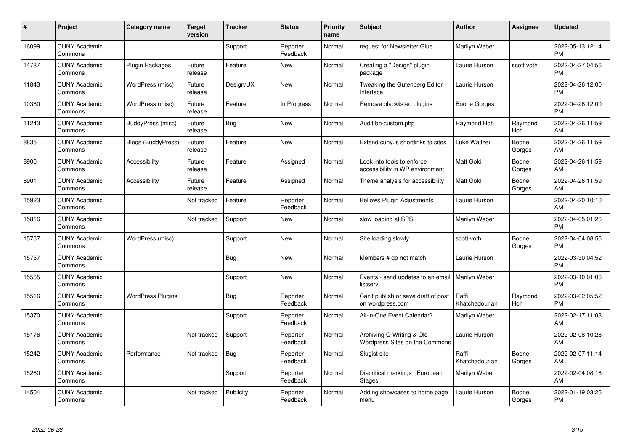| #     | Project                         | <b>Category name</b>      | <b>Target</b><br>version | <b>Tracker</b> | <b>Status</b>        | <b>Priority</b><br>name | <b>Subject</b>                                                | <b>Author</b>           | <b>Assignee</b> | <b>Updated</b>                |
|-------|---------------------------------|---------------------------|--------------------------|----------------|----------------------|-------------------------|---------------------------------------------------------------|-------------------------|-----------------|-------------------------------|
| 16099 | <b>CUNY Academic</b><br>Commons |                           |                          | Support        | Reporter<br>Feedback | Normal                  | request for Newsletter Glue                                   | Marilyn Weber           |                 | 2022-05-13 12:14<br><b>PM</b> |
| 14787 | <b>CUNY Academic</b><br>Commons | <b>Plugin Packages</b>    | Future<br>release        | Feature        | New                  | Normal                  | Creating a "Design" plugin<br>package                         | Laurie Hurson           | scott voth      | 2022-04-27 04:56<br><b>PM</b> |
| 11843 | <b>CUNY Academic</b><br>Commons | WordPress (misc)          | Future<br>release        | Design/UX      | <b>New</b>           | Normal                  | Tweaking the Gutenberg Editor<br>Interface                    | Laurie Hurson           |                 | 2022-04-26 12:00<br><b>PM</b> |
| 10380 | <b>CUNY Academic</b><br>Commons | WordPress (misc)          | Future<br>release        | Feature        | In Progress          | Normal                  | Remove blacklisted plugins                                    | Boone Gorges            |                 | 2022-04-26 12:00<br><b>PM</b> |
| 11243 | <b>CUNY Academic</b><br>Commons | BuddyPress (misc)         | Future<br>release        | <b>Bug</b>     | <b>New</b>           | Normal                  | Audit bp-custom.php                                           | Raymond Hoh             | Raymond<br>Hoh  | 2022-04-26 11:59<br>AM        |
| 8835  | <b>CUNY Academic</b><br>Commons | <b>Blogs (BuddyPress)</b> | Future<br>release        | Feature        | <b>New</b>           | Normal                  | Extend cuny.is shortlinks to sites                            | <b>Luke Waltzer</b>     | Boone<br>Gorges | 2022-04-26 11:59<br>AM        |
| 8900  | <b>CUNY Academic</b><br>Commons | Accessibility             | Future<br>release        | Feature        | Assigned             | Normal                  | Look into tools to enforce<br>accessibility in WP environment | Matt Gold               | Boone<br>Gorges | 2022-04-26 11:59<br>AM        |
| 8901  | <b>CUNY Academic</b><br>Commons | Accessibility             | Future<br>release        | Feature        | Assigned             | Normal                  | Theme analysis for accessibility                              | <b>Matt Gold</b>        | Boone<br>Gorges | 2022-04-26 11:59<br>AM        |
| 15923 | <b>CUNY Academic</b><br>Commons |                           | Not tracked              | Feature        | Reporter<br>Feedback | Normal                  | <b>Bellows Plugin Adjustments</b>                             | Laurie Hurson           |                 | 2022-04-20 10:10<br>AM        |
| 15816 | <b>CUNY Academic</b><br>Commons |                           | Not tracked              | Support        | New                  | Normal                  | slow loading at SPS                                           | Marilyn Weber           |                 | 2022-04-05 01:26<br><b>PM</b> |
| 15767 | <b>CUNY Academic</b><br>Commons | WordPress (misc)          |                          | Support        | New                  | Normal                  | Site loading slowly                                           | scott voth              | Boone<br>Gorges | 2022-04-04 08:56<br><b>PM</b> |
| 15757 | <b>CUNY Academic</b><br>Commons |                           |                          | Bug            | <b>New</b>           | Normal                  | Members # do not match                                        | Laurie Hurson           |                 | 2022-03-30 04:52<br><b>PM</b> |
| 15565 | <b>CUNY Academic</b><br>Commons |                           |                          | Support        | <b>New</b>           | Normal                  | Events - send updates to an email   Marilyn Weber<br>listserv |                         |                 | 2022-03-10 01:06<br><b>PM</b> |
| 15516 | <b>CUNY Academic</b><br>Commons | <b>WordPress Plugins</b>  |                          | Bug            | Reporter<br>Feedback | Normal                  | Can't publish or save draft of post<br>on wordpress.com       | Raffi<br>Khatchadourian | Raymond<br>Hoh  | 2022-03-02 05:52<br><b>PM</b> |
| 15370 | <b>CUNY Academic</b><br>Commons |                           |                          | Support        | Reporter<br>Feedback | Normal                  | All-in-One Event Calendar?                                    | Marilyn Weber           |                 | 2022-02-17 11:03<br>AM        |
| 15176 | <b>CUNY Academic</b><br>Commons |                           | Not tracked              | Support        | Reporter<br>Feedback | Normal                  | Archiving Q Writing & Old<br>Wordpress Sites on the Commons   | Laurie Hurson           |                 | 2022-02-08 10:28<br>AM        |
| 15242 | <b>CUNY Academic</b><br>Commons | Performance               | Not tracked              | Bug            | Reporter<br>Feedback | Normal                  | Slugist site                                                  | Raffi<br>Khatchadourian | Boone<br>Gorges | 2022-02-07 11:14<br>AM        |
| 15260 | <b>CUNY Academic</b><br>Commons |                           |                          | Support        | Reporter<br>Feedback | Normal                  | Diacritical markings   European<br>Stages                     | Marilyn Weber           |                 | 2022-02-04 08:16<br>AM        |
| 14504 | <b>CUNY Academic</b><br>Commons |                           | Not tracked              | Publicity      | Reporter<br>Feedback | Normal                  | Adding showcases to home page<br>menu                         | Laurie Hurson           | Boone<br>Gorges | 2022-01-19 03:26<br>PM        |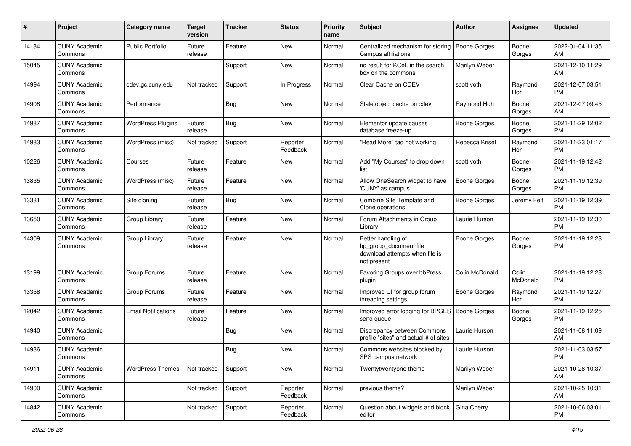| #     | Project                         | <b>Category name</b>       | <b>Target</b><br>version | <b>Tracker</b> | <b>Status</b>        | <b>Priority</b><br>name | Subject                                                                                       | <b>Author</b>       | <b>Assignee</b>   | <b>Updated</b>                |
|-------|---------------------------------|----------------------------|--------------------------|----------------|----------------------|-------------------------|-----------------------------------------------------------------------------------------------|---------------------|-------------------|-------------------------------|
| 14184 | <b>CUNY Academic</b><br>Commons | <b>Public Portfolio</b>    | Future<br>release        | Feature        | <b>New</b>           | Normal                  | Centralized mechanism for storing<br>Campus affiliations                                      | <b>Boone Gorges</b> | Boone<br>Gorges   | 2022-01-04 11:35<br>AM        |
| 15045 | <b>CUNY Academic</b><br>Commons |                            |                          | Support        | New                  | Normal                  | no result for KCeL in the search<br>box on the commons                                        | Marilyn Weber       |                   | 2021-12-10 11:29<br>AM        |
| 14994 | <b>CUNY Academic</b><br>Commons | cdev.gc.cuny.edu           | Not tracked              | Support        | In Progress          | Normal                  | Clear Cache on CDEV                                                                           | scott voth          | Raymond<br>Hoh    | 2021-12-07 03:51<br><b>PM</b> |
| 14908 | <b>CUNY Academic</b><br>Commons | Performance                |                          | Bug            | New                  | Normal                  | Stale object cache on cdev                                                                    | Raymond Hoh         | Boone<br>Gorges   | 2021-12-07 09:45<br>AM        |
| 14987 | <b>CUNY Academic</b><br>Commons | <b>WordPress Plugins</b>   | Future<br>release        | <b>Bug</b>     | New                  | Normal                  | Elementor update causes<br>database freeze-up                                                 | Boone Gorges        | Boone<br>Gorges   | 2021-11-29 12:02<br><b>PM</b> |
| 14983 | <b>CUNY Academic</b><br>Commons | WordPress (misc)           | Not tracked              | Support        | Reporter<br>Feedback | Normal                  | "Read More" tag not working                                                                   | Rebecca Krisel      | Raymond<br>Hoh    | 2021-11-23 01:17<br><b>PM</b> |
| 10226 | <b>CUNY Academic</b><br>Commons | Courses                    | Future<br>release        | Feature        | New                  | Normal                  | Add "My Courses" to drop down<br>list                                                         | scott voth          | Boone<br>Gorges   | 2021-11-19 12:42<br><b>PM</b> |
| 13835 | <b>CUNY Academic</b><br>Commons | WordPress (misc)           | Future<br>release        | Feature        | New                  | Normal                  | Allow OneSearch widget to have<br>'CUNY' as campus                                            | <b>Boone Gorges</b> | Boone<br>Gorges   | 2021-11-19 12:39<br><b>PM</b> |
| 13331 | <b>CUNY Academic</b><br>Commons | Site cloning               | Future<br>release        | <b>Bug</b>     | New                  | Normal                  | Combine Site Template and<br>Clone operations                                                 | <b>Boone Gorges</b> | Jeremy Felt       | 2021-11-19 12:39<br><b>PM</b> |
| 13650 | <b>CUNY Academic</b><br>Commons | Group Library              | Future<br>release        | Feature        | New                  | Normal                  | Forum Attachments in Group<br>Library                                                         | Laurie Hurson       |                   | 2021-11-19 12:30<br><b>PM</b> |
| 14309 | <b>CUNY Academic</b><br>Commons | Group Library              | Future<br>release        | Feature        | New                  | Normal                  | Better handling of<br>bp group document file<br>download attempts when file is<br>not present | Boone Gorges        | Boone<br>Gorges   | 2021-11-19 12:28<br><b>PM</b> |
| 13199 | <b>CUNY Academic</b><br>Commons | Group Forums               | Future<br>release        | Feature        | New                  | Normal                  | Favoring Groups over bbPress<br>plugin                                                        | Colin McDonald      | Colin<br>McDonald | 2021-11-19 12:28<br><b>PM</b> |
| 13358 | <b>CUNY Academic</b><br>Commons | Group Forums               | Future<br>release        | Feature        | <b>New</b>           | Normal                  | Improved UI for group forum<br>threading settings                                             | Boone Gorges        | Raymond<br>Hoh    | 2021-11-19 12:27<br><b>PM</b> |
| 12042 | <b>CUNY Academic</b><br>Commons | <b>Email Notifications</b> | Future<br>release        | Feature        | <b>New</b>           | Normal                  | Improved error logging for BPGES<br>send queue                                                | <b>Boone Gorges</b> | Boone<br>Gorges   | 2021-11-19 12:25<br><b>PM</b> |
| 14940 | <b>CUNY Academic</b><br>Commons |                            |                          | <b>Bug</b>     | New                  | Normal                  | Discrepancy between Commons<br>profile "sites" and actual # of sites                          | Laurie Hurson       |                   | 2021-11-08 11:09<br>AM        |
| 14936 | <b>CUNY Academic</b><br>Commons |                            |                          | Bug            | New                  | Normal                  | Commons websites blocked by<br>SPS campus network                                             | Laurie Hurson       |                   | 2021-11-03 03:57<br>PM        |
| 14911 | <b>CUNY Academic</b><br>Commons | <b>WordPress Themes</b>    | Not tracked              | Support        | New                  | Normal                  | Twentytwentyone theme                                                                         | Marilyn Weber       |                   | 2021-10-28 10:37<br>AM        |
| 14900 | <b>CUNY Academic</b><br>Commons |                            | Not tracked              | Support        | Reporter<br>Feedback | Normal                  | previous theme?                                                                               | Marilyn Weber       |                   | 2021-10-25 10:31<br>AM        |
| 14842 | <b>CUNY Academic</b><br>Commons |                            | Not tracked              | Support        | Reporter<br>Feedback | Normal                  | Question about widgets and block<br>editor                                                    | Gina Cherry         |                   | 2021-10-06 03:01<br><b>PM</b> |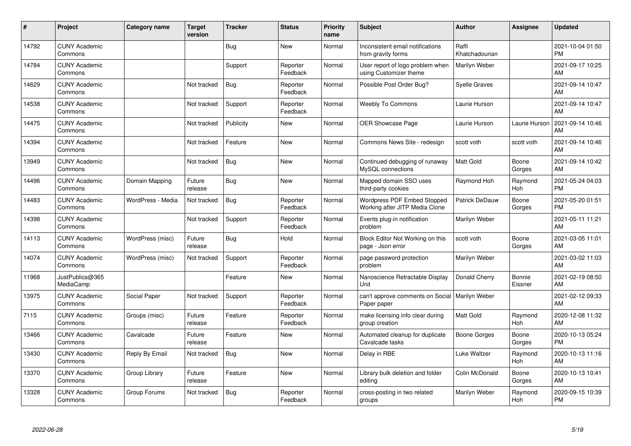| ∦     | Project                         | Category name     | <b>Target</b><br>version | <b>Tracker</b> | <b>Status</b>        | <b>Priority</b><br>name | <b>Subject</b>                                                  | <b>Author</b>           | <b>Assignee</b>   | <b>Updated</b>                |
|-------|---------------------------------|-------------------|--------------------------|----------------|----------------------|-------------------------|-----------------------------------------------------------------|-------------------------|-------------------|-------------------------------|
| 14792 | <b>CUNY Academic</b><br>Commons |                   |                          | Bug            | <b>New</b>           | Normal                  | Inconsistent email notifications<br>from gravity forms          | Raffi<br>Khatchadourian |                   | 2021-10-04 01:50<br><b>PM</b> |
| 14784 | <b>CUNY Academic</b><br>Commons |                   |                          | Support        | Reporter<br>Feedback | Normal                  | User report of logo problem when<br>using Customizer theme      | Marilyn Weber           |                   | 2021-09-17 10:25<br>AM        |
| 14629 | <b>CUNY Academic</b><br>Commons |                   | Not tracked              | Bug            | Reporter<br>Feedback | Normal                  | Possible Post Order Bug?                                        | <b>Syelle Graves</b>    |                   | 2021-09-14 10:47<br>AM        |
| 14538 | <b>CUNY Academic</b><br>Commons |                   | Not tracked              | Support        | Reporter<br>Feedback | Normal                  | <b>Weebly To Commons</b>                                        | Laurie Hurson           |                   | 2021-09-14 10:47<br>AM        |
| 14475 | <b>CUNY Academic</b><br>Commons |                   | Not tracked              | Publicity      | New                  | Normal                  | <b>OER Showcase Page</b>                                        | Laurie Hurson           | Laurie Hurson     | 2021-09-14 10:46<br>AM        |
| 14394 | <b>CUNY Academic</b><br>Commons |                   | Not tracked              | Feature        | <b>New</b>           | Normal                  | Commons News Site - redesign                                    | scott voth              | scott voth        | 2021-09-14 10:46<br>AM        |
| 13949 | <b>CUNY Academic</b><br>Commons |                   | Not tracked              | Bug            | <b>New</b>           | Normal                  | Continued debugging of runaway<br>MySQL connections             | <b>Matt Gold</b>        | Boone<br>Gorges   | 2021-09-14 10:42<br>AM        |
| 14496 | <b>CUNY Academic</b><br>Commons | Domain Mapping    | Future<br>release        | <b>Bug</b>     | <b>New</b>           | Normal                  | Mapped domain SSO uses<br>third-party cookies                   | Raymond Hoh             | Raymond<br>Hoh    | 2021-05-24 04:03<br><b>PM</b> |
| 14483 | <b>CUNY Academic</b><br>Commons | WordPress - Media | Not tracked              | <b>Bug</b>     | Reporter<br>Feedback | Normal                  | Wordpress PDF Embed Stopped<br>Working after JITP Media Clone   | <b>Patrick DeDauw</b>   | Boone<br>Gorges   | 2021-05-20 01:51<br><b>PM</b> |
| 14398 | <b>CUNY Academic</b><br>Commons |                   | Not tracked              | Support        | Reporter<br>Feedback | Normal                  | Events plug-in notification<br>problem                          | Marilyn Weber           |                   | 2021-05-11 11:21<br>AM        |
| 14113 | <b>CUNY Academic</b><br>Commons | WordPress (misc)  | Future<br>release        | Bug            | Hold                 | Normal                  | Block Editor Not Working on this<br>page - Json error           | scott voth              | Boone<br>Gorges   | 2021-03-05 11:01<br>AM        |
| 14074 | <b>CUNY Academic</b><br>Commons | WordPress (misc)  | Not tracked              | Support        | Reporter<br>Feedback | Normal                  | page password protection<br>problem                             | Marilyn Weber           |                   | 2021-03-02 11:03<br>AM        |
| 11968 | JustPublics@365<br>MediaCamp    |                   |                          | Feature        | <b>New</b>           | Normal                  | Nanoscience Retractable Display<br>Unit                         | Donald Cherry           | Bonnie<br>Eissner | 2021-02-19 08:50<br>AM        |
| 13975 | <b>CUNY Academic</b><br>Commons | Social Paper      | Not tracked              | Support        | Reporter<br>Feedback | Normal                  | can't approve comments on Social   Marilyn Weber<br>Paper paper |                         |                   | 2021-02-12 09:33<br>AM        |
| 7115  | <b>CUNY Academic</b><br>Commons | Groups (misc)     | Future<br>release        | Feature        | Reporter<br>Feedback | Normal                  | make licensing info clear during<br>group creation              | <b>Matt Gold</b>        | Raymond<br>Hoh    | 2020-12-08 11:32<br>AM        |
| 13466 | <b>CUNY Academic</b><br>Commons | Cavalcade         | Future<br>release        | Feature        | <b>New</b>           | Normal                  | Automated cleanup for duplicate<br>Cavalcade tasks              | <b>Boone Gorges</b>     | Boone<br>Gorges   | 2020-10-13 05:24<br><b>PM</b> |
| 13430 | <b>CUNY Academic</b><br>Commons | Reply By Email    | Not tracked              | Bug            | <b>New</b>           | Normal                  | Delay in RBE                                                    | Luke Waltzer            | Raymond<br>Hoh    | 2020-10-13 11:16<br>AM        |
| 13370 | <b>CUNY Academic</b><br>Commons | Group Library     | Future<br>release        | Feature        | New                  | Normal                  | Library bulk deletion and folder<br>editing                     | Colin McDonald          | Boone<br>Gorges   | 2020-10-13 10:41<br>AM        |
| 13328 | <b>CUNY Academic</b><br>Commons | Group Forums      | Not tracked              | Bug            | Reporter<br>Feedback | Normal                  | cross-posting in two related<br>groups                          | Marilyn Weber           | Raymond<br>Hoh    | 2020-09-15 10:39<br><b>PM</b> |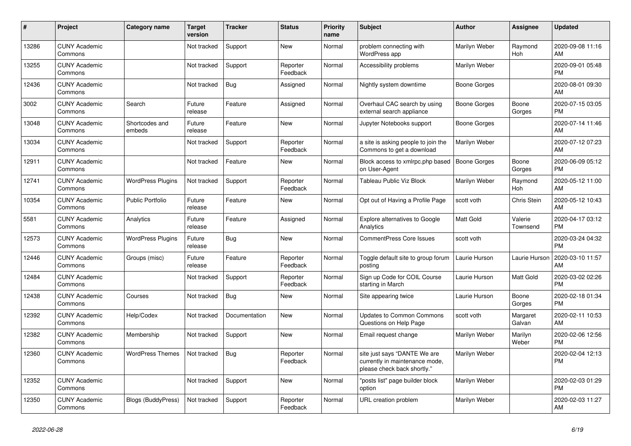| #     | Project                         | <b>Category name</b>      | Target<br>version | <b>Tracker</b> | <b>Status</b>        | <b>Priority</b><br>name | <b>Subject</b>                                                                                | <b>Author</b>       | <b>Assignee</b>     | <b>Updated</b>                |
|-------|---------------------------------|---------------------------|-------------------|----------------|----------------------|-------------------------|-----------------------------------------------------------------------------------------------|---------------------|---------------------|-------------------------------|
| 13286 | <b>CUNY Academic</b><br>Commons |                           | Not tracked       | Support        | <b>New</b>           | Normal                  | problem connecting with<br>WordPress app                                                      | Marilyn Weber       | Raymond<br>Hoh      | 2020-09-08 11:16<br>AM        |
| 13255 | <b>CUNY Academic</b><br>Commons |                           | Not tracked       | Support        | Reporter<br>Feedback | Normal                  | Accessibility problems                                                                        | Marilyn Weber       |                     | 2020-09-01 05:48<br><b>PM</b> |
| 12436 | <b>CUNY Academic</b><br>Commons |                           | Not tracked       | <b>Bug</b>     | Assigned             | Normal                  | Nightly system downtime                                                                       | Boone Gorges        |                     | 2020-08-01 09:30<br>AM        |
| 3002  | <b>CUNY Academic</b><br>Commons | Search                    | Future<br>release | Feature        | Assigned             | Normal                  | Overhaul CAC search by using<br>external search appliance                                     | Boone Gorges        | Boone<br>Gorges     | 2020-07-15 03:05<br><b>PM</b> |
| 13048 | <b>CUNY Academic</b><br>Commons | Shortcodes and<br>embeds  | Future<br>release | Feature        | <b>New</b>           | Normal                  | Jupyter Notebooks support                                                                     | Boone Gorges        |                     | 2020-07-14 11:46<br>AM        |
| 13034 | <b>CUNY Academic</b><br>Commons |                           | Not tracked       | Support        | Reporter<br>Feedback | Normal                  | a site is asking people to join the<br>Commons to get a download                              | Marilyn Weber       |                     | 2020-07-12 07:23<br>AM        |
| 12911 | <b>CUNY Academic</b><br>Commons |                           | Not tracked       | Feature        | <b>New</b>           | Normal                  | Block access to xmlrpc.php based<br>on User-Agent                                             | <b>Boone Gorges</b> | Boone<br>Gorges     | 2020-06-09 05:12<br><b>PM</b> |
| 12741 | <b>CUNY Academic</b><br>Commons | <b>WordPress Plugins</b>  | Not tracked       | Support        | Reporter<br>Feedback | Normal                  | Tableau Public Viz Block                                                                      | Marilyn Weber       | Raymond<br>Hoh      | 2020-05-12 11:00<br>AM        |
| 10354 | <b>CUNY Academic</b><br>Commons | <b>Public Portfolio</b>   | Future<br>release | Feature        | New                  | Normal                  | Opt out of Having a Profile Page                                                              | scott voth          | Chris Stein         | 2020-05-12 10:43<br>AM        |
| 5581  | <b>CUNY Academic</b><br>Commons | Analytics                 | Future<br>release | Feature        | Assigned             | Normal                  | <b>Explore alternatives to Google</b><br>Analytics                                            | Matt Gold           | Valerie<br>Townsend | 2020-04-17 03:12<br><b>PM</b> |
| 12573 | <b>CUNY Academic</b><br>Commons | <b>WordPress Plugins</b>  | Future<br>release | <b>Bug</b>     | <b>New</b>           | Normal                  | <b>CommentPress Core Issues</b>                                                               | scott voth          |                     | 2020-03-24 04:32<br><b>PM</b> |
| 12446 | <b>CUNY Academic</b><br>Commons | Groups (misc)             | Future<br>release | Feature        | Reporter<br>Feedback | Normal                  | Toggle default site to group forum<br>posting                                                 | Laurie Hurson       | Laurie Hurson       | 2020-03-10 11:57<br>AM        |
| 12484 | <b>CUNY Academic</b><br>Commons |                           | Not tracked       | Support        | Reporter<br>Feedback | Normal                  | Sign up Code for COIL Course<br>starting in March                                             | Laurie Hurson       | <b>Matt Gold</b>    | 2020-03-02 02:26<br><b>PM</b> |
| 12438 | <b>CUNY Academic</b><br>Commons | Courses                   | Not tracked       | <b>Bug</b>     | New                  | Normal                  | Site appearing twice                                                                          | Laurie Hurson       | Boone<br>Gorges     | 2020-02-18 01:34<br><b>PM</b> |
| 12392 | <b>CUNY Academic</b><br>Commons | Help/Codex                | Not tracked       | Documentation  | <b>New</b>           | Normal                  | <b>Updates to Common Commons</b><br>Questions on Help Page                                    | scott voth          | Margaret<br>Galvan  | 2020-02-11 10:53<br>AM        |
| 12382 | <b>CUNY Academic</b><br>Commons | Membership                | Not tracked       | Support        | <b>New</b>           | Normal                  | Email request change                                                                          | Marilyn Weber       | Marilyn<br>Weber    | 2020-02-06 12:56<br><b>PM</b> |
| 12360 | <b>CUNY Academic</b><br>Commons | <b>WordPress Themes</b>   | Not tracked       | <b>Bug</b>     | Reporter<br>Feedback | Normal                  | site just says "DANTE We are<br>currently in maintenance mode,<br>please check back shortly." | Marilyn Weber       |                     | 2020-02-04 12:13<br><b>PM</b> |
| 12352 | <b>CUNY Academic</b><br>Commons |                           | Not tracked       | Support        | <b>New</b>           | Normal                  | "posts list" page builder block<br>option                                                     | Marilyn Weber       |                     | 2020-02-03 01:29<br><b>PM</b> |
| 12350 | <b>CUNY Academic</b><br>Commons | <b>Blogs (BuddyPress)</b> | Not tracked       | Support        | Reporter<br>Feedback | Normal                  | URL creation problem                                                                          | Marilyn Weber       |                     | 2020-02-03 11:27<br>AM        |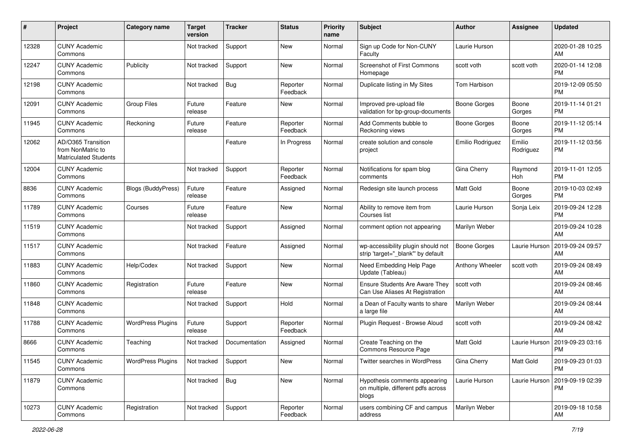| #     | Project                                                                 | <b>Category name</b>      | <b>Target</b><br>version | <b>Tracker</b> | <b>Status</b>        | <b>Priority</b><br>name | Subject                                                                      | <b>Author</b>       | <b>Assignee</b>     | <b>Updated</b>                |
|-------|-------------------------------------------------------------------------|---------------------------|--------------------------|----------------|----------------------|-------------------------|------------------------------------------------------------------------------|---------------------|---------------------|-------------------------------|
| 12328 | <b>CUNY Academic</b><br>Commons                                         |                           | Not tracked              | Support        | <b>New</b>           | Normal                  | Sign up Code for Non-CUNY<br>Faculty                                         | Laurie Hurson       |                     | 2020-01-28 10:25<br>AM        |
| 12247 | <b>CUNY Academic</b><br>Commons                                         | Publicity                 | Not tracked              | Support        | New                  | Normal                  | <b>Screenshot of First Commons</b><br>Homepage                               | scott voth          | scott voth          | 2020-01-14 12:08<br><b>PM</b> |
| 12198 | <b>CUNY Academic</b><br>Commons                                         |                           | Not tracked              | Bug            | Reporter<br>Feedback | Normal                  | Duplicate listing in My Sites                                                | Tom Harbison        |                     | 2019-12-09 05:50<br><b>PM</b> |
| 12091 | <b>CUNY Academic</b><br>Commons                                         | <b>Group Files</b>        | Future<br>release        | Feature        | New                  | Normal                  | Improved pre-upload file<br>validation for bp-group-documents                | Boone Gorges        | Boone<br>Gorges     | 2019-11-14 01:21<br><b>PM</b> |
| 11945 | <b>CUNY Academic</b><br>Commons                                         | Reckoning                 | Future<br>release        | Feature        | Reporter<br>Feedback | Normal                  | Add Comments bubble to<br>Reckoning views                                    | <b>Boone Gorges</b> | Boone<br>Gorges     | 2019-11-12 05:14<br><b>PM</b> |
| 12062 | AD/O365 Transition<br>from NonMatric to<br><b>Matriculated Students</b> |                           |                          | Feature        | In Progress          | Normal                  | create solution and console<br>project                                       | Emilio Rodriguez    | Emilio<br>Rodriguez | 2019-11-12 03:56<br><b>PM</b> |
| 12004 | <b>CUNY Academic</b><br>Commons                                         |                           | Not tracked              | Support        | Reporter<br>Feedback | Normal                  | Notifications for spam blog<br>comments                                      | Gina Cherry         | Raymond<br>Hoh      | 2019-11-01 12:05<br><b>PM</b> |
| 8836  | <b>CUNY Academic</b><br>Commons                                         | <b>Blogs (BuddyPress)</b> | Future<br>release        | Feature        | Assigned             | Normal                  | Redesign site launch process                                                 | <b>Matt Gold</b>    | Boone<br>Gorges     | 2019-10-03 02:49<br><b>PM</b> |
| 11789 | <b>CUNY Academic</b><br>Commons                                         | Courses                   | Future<br>release        | Feature        | <b>New</b>           | Normal                  | Ability to remove item from<br>Courses list                                  | Laurie Hurson       | Sonja Leix          | 2019-09-24 12:28<br><b>PM</b> |
| 11519 | <b>CUNY Academic</b><br>Commons                                         |                           | Not tracked              | Support        | Assigned             | Normal                  | comment option not appearing                                                 | Marilyn Weber       |                     | 2019-09-24 10:28<br>AM        |
| 11517 | <b>CUNY Academic</b><br>Commons                                         |                           | Not tracked              | Feature        | Assigned             | Normal                  | wp-accessibility plugin should not<br>strip 'target="_blank" by default      | <b>Boone Gorges</b> | Laurie Hurson       | 2019-09-24 09:57<br>AM        |
| 11883 | <b>CUNY Academic</b><br>Commons                                         | Help/Codex                | Not tracked              | Support        | <b>New</b>           | Normal                  | Need Embedding Help Page<br>Update (Tableau)                                 | Anthony Wheeler     | scott voth          | 2019-09-24 08:49<br>AM        |
| 11860 | <b>CUNY Academic</b><br>Commons                                         | Registration              | Future<br>release        | Feature        | <b>New</b>           | Normal                  | <b>Ensure Students Are Aware They</b><br>Can Use Aliases At Registration     | scott voth          |                     | 2019-09-24 08:46<br>AM        |
| 11848 | <b>CUNY Academic</b><br>Commons                                         |                           | Not tracked              | Support        | Hold                 | Normal                  | a Dean of Faculty wants to share<br>a large file                             | Marilyn Weber       |                     | 2019-09-24 08:44<br>AM        |
| 11788 | <b>CUNY Academic</b><br>Commons                                         | <b>WordPress Plugins</b>  | Future<br>release        | Support        | Reporter<br>Feedback | Normal                  | Plugin Request - Browse Aloud                                                | scott voth          |                     | 2019-09-24 08:42<br>AM        |
| 8666  | <b>CUNY Academic</b><br>Commons                                         | Teaching                  | Not tracked              | Documentation  | Assigned             | Normal                  | Create Teaching on the<br>Commons Resource Page                              | <b>Matt Gold</b>    | Laurie Hurson       | 2019-09-23 03:16<br>PM        |
| 11545 | <b>CUNY Academic</b><br>Commons                                         | <b>WordPress Plugins</b>  | Not tracked              | Support        | New                  | Normal                  | Twitter searches in WordPress                                                | Gina Cherry         | Matt Gold           | 2019-09-23 01:03<br>PM        |
| 11879 | <b>CUNY Academic</b><br>Commons                                         |                           | Not tracked              | Bug            | New                  | Normal                  | Hypothesis comments appearing<br>on multiple, different pdfs across<br>blogs | Laurie Hurson       | Laurie Hurson       | 2019-09-19 02:39<br><b>PM</b> |
| 10273 | <b>CUNY Academic</b><br>Commons                                         | Registration              | Not tracked              | Support        | Reporter<br>Feedback | Normal                  | users combining CF and campus<br>address                                     | Marilyn Weber       |                     | 2019-09-18 10:58<br>AM        |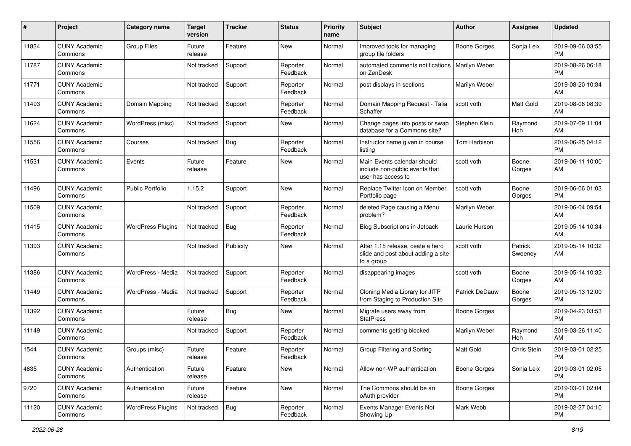| #     | Project                         | <b>Category name</b>     | <b>Target</b><br>version | <b>Tracker</b> | <b>Status</b>        | <b>Priority</b><br>name | Subject                                                                              | <b>Author</b>         | <b>Assignee</b>       | <b>Updated</b>                |
|-------|---------------------------------|--------------------------|--------------------------|----------------|----------------------|-------------------------|--------------------------------------------------------------------------------------|-----------------------|-----------------------|-------------------------------|
| 11834 | <b>CUNY Academic</b><br>Commons | <b>Group Files</b>       | Future<br>release        | Feature        | <b>New</b>           | Normal                  | Improved tools for managing<br>group file folders                                    | <b>Boone Gorges</b>   | Sonja Leix            | 2019-09-06 03:55<br>PM        |
| 11787 | <b>CUNY Academic</b><br>Commons |                          | Not tracked              | Support        | Reporter<br>Feedback | Normal                  | automated comments notifications<br>on ZenDesk                                       | Marilyn Weber         |                       | 2019-08-26 06:18<br><b>PM</b> |
| 11771 | <b>CUNY Academic</b><br>Commons |                          | Not tracked              | Support        | Reporter<br>Feedback | Normal                  | post displays in sections                                                            | Marilyn Weber         |                       | 2019-08-20 10:34<br>AM        |
| 11493 | <b>CUNY Academic</b><br>Commons | Domain Mapping           | Not tracked              | Support        | Reporter<br>Feedback | Normal                  | Domain Mapping Request - Talia<br>Schaffer                                           | scott voth            | <b>Matt Gold</b>      | 2019-08-06 08:39<br>AM        |
| 11624 | <b>CUNY Academic</b><br>Commons | WordPress (misc)         | Not tracked              | Support        | New                  | Normal                  | Change pages into posts or swap<br>database for a Commons site?                      | Stephen Klein         | Raymond<br>Hoh        | 2019-07-09 11:04<br>AM        |
| 11556 | <b>CUNY Academic</b><br>Commons | Courses                  | Not tracked              | <b>Bug</b>     | Reporter<br>Feedback | Normal                  | Instructor name given in course<br>listing                                           | Tom Harbison          |                       | 2019-06-25 04:12<br><b>PM</b> |
| 11531 | <b>CUNY Academic</b><br>Commons | Events                   | Future<br>release        | Feature        | New                  | Normal                  | Main Events calendar should<br>include non-public events that<br>user has access to  | scott voth            | Boone<br>Gorges       | 2019-06-11 10:00<br>AM        |
| 11496 | <b>CUNY Academic</b><br>Commons | <b>Public Portfolio</b>  | 1.15.2                   | Support        | New                  | Normal                  | Replace Twitter Icon on Member<br>Portfolio page                                     | scott voth            | Boone<br>Gorges       | 2019-06-06 01:03<br><b>PM</b> |
| 11509 | <b>CUNY Academic</b><br>Commons |                          | Not tracked              | Support        | Reporter<br>Feedback | Normal                  | deleted Page causing a Menu<br>problem?                                              | Marilyn Weber         |                       | 2019-06-04 09:54<br>AM        |
| 11415 | <b>CUNY Academic</b><br>Commons | <b>WordPress Plugins</b> | Not tracked              | <b>Bug</b>     | Reporter<br>Feedback | Normal                  | Blog Subscriptions in Jetpack                                                        | Laurie Hurson         |                       | 2019-05-14 10:34<br>AM        |
| 11393 | <b>CUNY Academic</b><br>Commons |                          | Not tracked              | Publicity      | New                  | Normal                  | After 1.15 release, ceate a hero<br>slide and post about adding a site<br>to a group | scott voth            | Patrick<br>Sweeney    | 2019-05-14 10:32<br>AM        |
| 11386 | <b>CUNY Academic</b><br>Commons | WordPress - Media        | Not tracked              | Support        | Reporter<br>Feedback | Normal                  | disappearing images                                                                  | scott voth            | Boone<br>Gorges       | 2019-05-14 10:32<br>AM        |
| 11449 | <b>CUNY Academic</b><br>Commons | WordPress - Media        | Not tracked              | Support        | Reporter<br>Feedback | Normal                  | Cloning Media Library for JITP<br>from Staging to Production Site                    | <b>Patrick DeDauw</b> | Boone<br>Gorges       | 2019-05-13 12:00<br><b>PM</b> |
| 11392 | <b>CUNY Academic</b><br>Commons |                          | Future<br>release        | Bug            | New                  | Normal                  | Migrate users away from<br><b>StatPress</b>                                          | Boone Gorges          |                       | 2019-04-23 03:53<br><b>PM</b> |
| 11149 | <b>CUNY Academic</b><br>Commons |                          | Not tracked              | Support        | Reporter<br>Feedback | Normal                  | comments getting blocked                                                             | Marilyn Weber         | Raymond<br><b>Hoh</b> | 2019-03-26 11:40<br>AM        |
| 1544  | <b>CUNY Academic</b><br>Commons | Groups (misc)            | Future<br>release        | Feature        | Reporter<br>Feedback | Normal                  | Group Filtering and Sorting                                                          | Matt Gold             | Chris Stein           | 2019-03-01 02:25<br>PM        |
| 4635  | <b>CUNY Academic</b><br>Commons | Authentication           | Future<br>release        | Feature        | New                  | Normal                  | Allow non-WP authentication                                                          | Boone Gorges          | Sonja Leix            | 2019-03-01 02:05<br><b>PM</b> |
| 9720  | <b>CUNY Academic</b><br>Commons | Authentication           | Future<br>release        | Feature        | New                  | Normal                  | The Commons should be an<br>oAuth provider                                           | <b>Boone Gorges</b>   |                       | 2019-03-01 02:04<br><b>PM</b> |
| 11120 | <b>CUNY Academic</b><br>Commons | <b>WordPress Plugins</b> | Not tracked              | <b>Bug</b>     | Reporter<br>Feedback | Normal                  | Events Manager Events Not<br>Showing Up                                              | Mark Webb             |                       | 2019-02-27 04:10<br><b>PM</b> |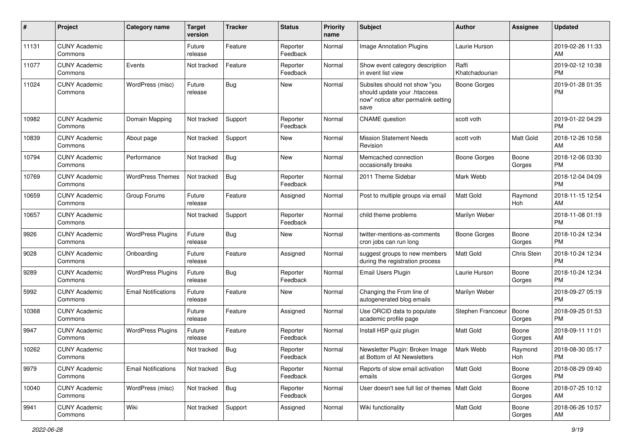| #     | Project                         | <b>Category name</b>       | <b>Target</b><br>version | <b>Tracker</b> | <b>Status</b>        | <b>Priority</b><br>name | Subject                                                                                                      | <b>Author</b>           | <b>Assignee</b>  | <b>Updated</b>                |
|-------|---------------------------------|----------------------------|--------------------------|----------------|----------------------|-------------------------|--------------------------------------------------------------------------------------------------------------|-------------------------|------------------|-------------------------------|
| 11131 | <b>CUNY Academic</b><br>Commons |                            | Future<br>release        | Feature        | Reporter<br>Feedback | Normal                  | <b>Image Annotation Plugins</b>                                                                              | Laurie Hurson           |                  | 2019-02-26 11:33<br>AM        |
| 11077 | <b>CUNY Academic</b><br>Commons | Events                     | Not tracked              | Feature        | Reporter<br>Feedback | Normal                  | Show event category description<br>in event list view                                                        | Raffi<br>Khatchadourian |                  | 2019-02-12 10:38<br><b>PM</b> |
| 11024 | <b>CUNY Academic</b><br>Commons | WordPress (misc)           | Future<br>release        | Bug            | New                  | Normal                  | Subsites should not show "you<br>should update your .htaccess<br>now" notice after permalink setting<br>save | <b>Boone Gorges</b>     |                  | 2019-01-28 01:35<br><b>PM</b> |
| 10982 | <b>CUNY Academic</b><br>Commons | Domain Mapping             | Not tracked              | Support        | Reporter<br>Feedback | Normal                  | <b>CNAME</b> question                                                                                        | scott voth              |                  | 2019-01-22 04:29<br><b>PM</b> |
| 10839 | <b>CUNY Academic</b><br>Commons | About page                 | Not tracked              | Support        | New                  | Normal                  | <b>Mission Statement Needs</b><br>Revision                                                                   | scott voth              | <b>Matt Gold</b> | 2018-12-26 10:58<br>AM        |
| 10794 | <b>CUNY Academic</b><br>Commons | Performance                | Not tracked              | <b>Bug</b>     | New                  | Normal                  | Memcached connection<br>occasionally breaks                                                                  | Boone Gorges            | Boone<br>Gorges  | 2018-12-06 03:30<br><b>PM</b> |
| 10769 | <b>CUNY Academic</b><br>Commons | <b>WordPress Themes</b>    | Not tracked              | Bug            | Reporter<br>Feedback | Normal                  | 2011 Theme Sidebar                                                                                           | Mark Webb               |                  | 2018-12-04 04:09<br><b>PM</b> |
| 10659 | <b>CUNY Academic</b><br>Commons | Group Forums               | Future<br>release        | Feature        | Assigned             | Normal                  | Post to multiple groups via email                                                                            | Matt Gold               | Raymond<br>Hoh   | 2018-11-15 12:54<br>AM        |
| 10657 | <b>CUNY Academic</b><br>Commons |                            | Not tracked              | Support        | Reporter<br>Feedback | Normal                  | child theme problems                                                                                         | Marilyn Weber           |                  | 2018-11-08 01:19<br><b>PM</b> |
| 9926  | <b>CUNY Academic</b><br>Commons | <b>WordPress Plugins</b>   | Future<br>release        | Bug            | New                  | Normal                  | twitter-mentions-as-comments<br>cron jobs can run long                                                       | Boone Gorges            | Boone<br>Gorges  | 2018-10-24 12:34<br>РM        |
| 9028  | <b>CUNY Academic</b><br>Commons | Onboarding                 | Future<br>release        | Feature        | Assigned             | Normal                  | suggest groups to new members<br>during the registration process                                             | <b>Matt Gold</b>        | Chris Stein      | 2018-10-24 12:34<br><b>PM</b> |
| 9289  | <b>CUNY Academic</b><br>Commons | <b>WordPress Plugins</b>   | Future<br>release        | Bug            | Reporter<br>Feedback | Normal                  | <b>Email Users Plugin</b>                                                                                    | Laurie Hurson           | Boone<br>Gorges  | 2018-10-24 12:34<br><b>PM</b> |
| 5992  | <b>CUNY Academic</b><br>Commons | <b>Email Notifications</b> | Future<br>release        | Feature        | New                  | Normal                  | Changing the From line of<br>autogenerated blog emails                                                       | Marilyn Weber           |                  | 2018-09-27 05:19<br><b>PM</b> |
| 10368 | <b>CUNY Academic</b><br>Commons |                            | Future<br>release        | Feature        | Assigned             | Normal                  | Use ORCID data to populate<br>academic profile page                                                          | Stephen Francoeur       | Boone<br>Gorges  | 2018-09-25 01:53<br><b>PM</b> |
| 9947  | <b>CUNY Academic</b><br>Commons | <b>WordPress Plugins</b>   | Future<br>release        | Feature        | Reporter<br>Feedback | Normal                  | Install H5P quiz plugin                                                                                      | <b>Matt Gold</b>        | Boone<br>Gorges  | 2018-09-11 11:01<br>AM        |
| 10262 | <b>CUNY Academic</b><br>Commons |                            | Not tracked              | <b>Bug</b>     | Reporter<br>Feedback | Normal                  | Newsletter Plugin: Broken Image<br>at Bottom of All Newsletters                                              | Mark Webb               | Raymond<br>Hoh   | 2018-08-30 05:17<br>PM        |
| 9979  | <b>CUNY Academic</b><br>Commons | <b>Email Notifications</b> | Not tracked              | <b>Bug</b>     | Reporter<br>Feedback | Normal                  | Reports of slow email activation<br>emails                                                                   | Matt Gold               | Boone<br>Gorges  | 2018-08-29 09:40<br>PM        |
| 10040 | <b>CUNY Academic</b><br>Commons | WordPress (misc)           | Not tracked              | <b>Bug</b>     | Reporter<br>Feedback | Normal                  | User doesn't see full list of themes   Matt Gold                                                             |                         | Boone<br>Gorges  | 2018-07-25 10:12<br>AM        |
| 9941  | <b>CUNY Academic</b><br>Commons | Wiki                       | Not tracked              | Support        | Assigned             | Normal                  | Wiki functionality                                                                                           | Matt Gold               | Boone<br>Gorges  | 2018-06-26 10:57<br>AM        |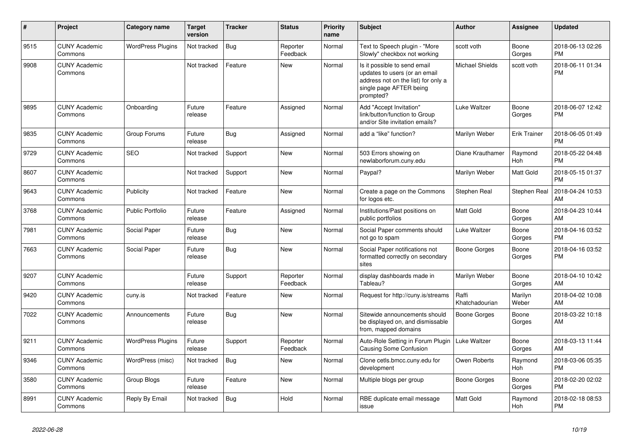| #    | <b>Project</b>                  | Category name            | <b>Target</b><br>version | <b>Tracker</b> | <b>Status</b>        | Priority<br>name | <b>Subject</b>                                                                                                                               | <b>Author</b>           | Assignee              | <b>Updated</b>                |
|------|---------------------------------|--------------------------|--------------------------|----------------|----------------------|------------------|----------------------------------------------------------------------------------------------------------------------------------------------|-------------------------|-----------------------|-------------------------------|
| 9515 | <b>CUNY Academic</b><br>Commons | <b>WordPress Plugins</b> | Not tracked              | <b>Bug</b>     | Reporter<br>Feedback | Normal           | Text to Speech plugin - "More<br>Slowly" checkbox not working                                                                                | scott voth              | Boone<br>Gorges       | 2018-06-13 02:26<br><b>PM</b> |
| 9908 | <b>CUNY Academic</b><br>Commons |                          | Not tracked              | Feature        | <b>New</b>           | Normal           | Is it possible to send email<br>updates to users (or an email<br>address not on the list) for only a<br>single page AFTER being<br>prompted? | <b>Michael Shields</b>  | scott voth            | 2018-06-11 01:34<br><b>PM</b> |
| 9895 | <b>CUNY Academic</b><br>Commons | Onboarding               | Future<br>release        | Feature        | Assigned             | Normal           | Add "Accept Invitation"<br>link/button/function to Group<br>and/or Site invitation emails?                                                   | <b>Luke Waltzer</b>     | Boone<br>Gorges       | 2018-06-07 12:42<br><b>PM</b> |
| 9835 | <b>CUNY Academic</b><br>Commons | Group Forums             | Future<br>release        | Bug            | Assigned             | Normal           | add a "like" function?                                                                                                                       | Marilyn Weber           | <b>Erik Trainer</b>   | 2018-06-05 01:49<br><b>PM</b> |
| 9729 | <b>CUNY Academic</b><br>Commons | <b>SEO</b>               | Not tracked              | Support        | New                  | Normal           | 503 Errors showing on<br>newlaborforum.cuny.edu                                                                                              | Diane Krauthamer        | Raymond<br><b>Hoh</b> | 2018-05-22 04:48<br><b>PM</b> |
| 8607 | <b>CUNY Academic</b><br>Commons |                          | Not tracked              | Support        | <b>New</b>           | Normal           | Paypal?                                                                                                                                      | Marilyn Weber           | Matt Gold             | 2018-05-15 01:37<br><b>PM</b> |
| 9643 | <b>CUNY Academic</b><br>Commons | Publicity                | Not tracked              | Feature        | New                  | Normal           | Create a page on the Commons<br>for logos etc.                                                                                               | Stephen Real            | Stephen Real          | 2018-04-24 10:53<br>AM        |
| 3768 | <b>CUNY Academic</b><br>Commons | <b>Public Portfolio</b>  | Future<br>release        | Feature        | Assigned             | Normal           | Institutions/Past positions on<br>public portfolios                                                                                          | Matt Gold               | Boone<br>Gorges       | 2018-04-23 10:44<br>AM        |
| 7981 | <b>CUNY Academic</b><br>Commons | Social Paper             | Future<br>release        | Bug            | <b>New</b>           | Normal           | Social Paper comments should<br>not go to spam                                                                                               | Luke Waltzer            | Boone<br>Gorges       | 2018-04-16 03:52<br><b>PM</b> |
| 7663 | <b>CUNY Academic</b><br>Commons | Social Paper             | Future<br>release        | Bug            | New                  | Normal           | Social Paper notifications not<br>formatted correctly on secondary<br>sites                                                                  | <b>Boone Gorges</b>     | Boone<br>Gorges       | 2018-04-16 03:52<br><b>PM</b> |
| 9207 | <b>CUNY Academic</b><br>Commons |                          | Future<br>release        | Support        | Reporter<br>Feedback | Normal           | display dashboards made in<br>Tableau?                                                                                                       | Marilyn Weber           | Boone<br>Gorges       | 2018-04-10 10:42<br>AM        |
| 9420 | <b>CUNY Academic</b><br>Commons | cuny.is                  | Not tracked              | Feature        | <b>New</b>           | Normal           | Request for http://cuny.is/streams                                                                                                           | Raffi<br>Khatchadourian | Marilyn<br>Weber      | 2018-04-02 10:08<br>AM        |
| 7022 | <b>CUNY Academic</b><br>Commons | Announcements            | Future<br>release        | Bug            | New                  | Normal           | Sitewide announcements should<br>be displayed on, and dismissable<br>from, mapped domains                                                    | <b>Boone Gorges</b>     | Boone<br>Gorges       | 2018-03-22 10:18<br>AM        |
| 9211 | <b>CUNY Academic</b><br>Commons | <b>WordPress Plugins</b> | Future<br>release        | Support        | Reporter<br>Feedback | Normal           | Auto-Role Setting in Forum Plugin<br><b>Causing Some Confusion</b>                                                                           | <b>Luke Waltzer</b>     | Boone<br>Gorges       | 2018-03-13 11:44<br>AM        |
| 9346 | <b>CUNY Academic</b><br>Commons | WordPress (misc)         | Not tracked              | <b>Bug</b>     | <b>New</b>           | Normal           | Clone cetls.bmcc.cuny.edu for<br>development                                                                                                 | Owen Roberts            | Raymond<br>Hoh        | 2018-03-06 05:35<br><b>PM</b> |
| 3580 | <b>CUNY Academic</b><br>Commons | Group Blogs              | Future<br>release        | Feature        | New                  | Normal           | Multiple blogs per group                                                                                                                     | <b>Boone Gorges</b>     | Boone<br>Gorges       | 2018-02-20 02:02<br><b>PM</b> |
| 8991 | <b>CUNY Academic</b><br>Commons | Reply By Email           | Not tracked              | <b>Bug</b>     | Hold                 | Normal           | RBE duplicate email message<br>issue                                                                                                         | Matt Gold               | Raymond<br>Hoh        | 2018-02-18 08:53<br><b>PM</b> |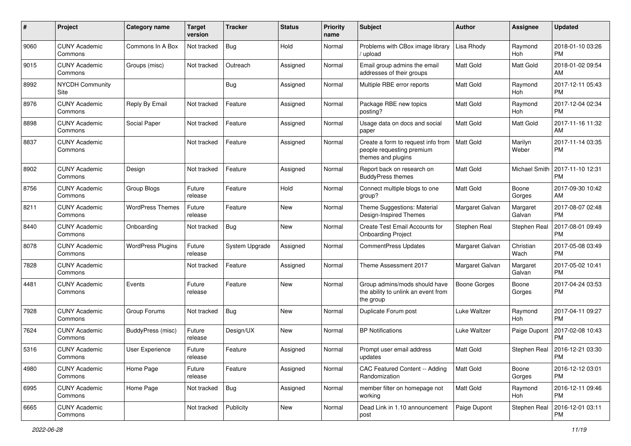| #    | Project                         | Category name            | <b>Target</b><br>version | <b>Tracker</b>        | <b>Status</b> | <b>Priority</b><br>name | Subject                                                                               | <b>Author</b>       | <b>Assignee</b>       | <b>Updated</b>                |
|------|---------------------------------|--------------------------|--------------------------|-----------------------|---------------|-------------------------|---------------------------------------------------------------------------------------|---------------------|-----------------------|-------------------------------|
| 9060 | <b>CUNY Academic</b><br>Commons | Commons In A Box         | Not tracked              | <b>Bug</b>            | Hold          | Normal                  | Problems with CBox image library<br>upload                                            | Lisa Rhody          | Raymond<br>Hoh        | 2018-01-10 03:26<br><b>PM</b> |
| 9015 | <b>CUNY Academic</b><br>Commons | Groups (misc)            | Not tracked              | Outreach              | Assigned      | Normal                  | Email group admins the email<br>addresses of their groups                             | <b>Matt Gold</b>    | <b>Matt Gold</b>      | 2018-01-02 09:54<br>AM        |
| 8992 | <b>NYCDH Community</b><br>Site  |                          |                          | <b>Bug</b>            | Assigned      | Normal                  | Multiple RBE error reports                                                            | <b>Matt Gold</b>    | Raymond<br>Hoh        | 2017-12-11 05:43<br><b>PM</b> |
| 8976 | <b>CUNY Academic</b><br>Commons | Reply By Email           | Not tracked              | Feature               | Assigned      | Normal                  | Package RBE new topics<br>posting?                                                    | <b>Matt Gold</b>    | Raymond<br>Hoh        | 2017-12-04 02:34<br><b>PM</b> |
| 8898 | <b>CUNY Academic</b><br>Commons | Social Paper             | Not tracked              | Feature               | Assigned      | Normal                  | Usage data on docs and social<br>paper                                                | <b>Matt Gold</b>    | <b>Matt Gold</b>      | 2017-11-16 11:32<br>AM        |
| 8837 | <b>CUNY Academic</b><br>Commons |                          | Not tracked              | Feature               | Assigned      | Normal                  | Create a form to request info from<br>people requesting premium<br>themes and plugins | <b>Matt Gold</b>    | Marilyn<br>Weber      | 2017-11-14 03:35<br><b>PM</b> |
| 8902 | <b>CUNY Academic</b><br>Commons | Design                   | Not tracked              | Feature               | Assigned      | Normal                  | Report back on research on<br><b>BuddyPress themes</b>                                | <b>Matt Gold</b>    | Michael Smith         | 2017-11-10 12:31<br><b>PM</b> |
| 8756 | <b>CUNY Academic</b><br>Commons | Group Blogs              | Future<br>release        | Feature               | Hold          | Normal                  | Connect multiple blogs to one<br>group?                                               | Matt Gold           | Boone<br>Gorges       | 2017-09-30 10:42<br>AM        |
| 8211 | <b>CUNY Academic</b><br>Commons | <b>WordPress Themes</b>  | Future<br>release        | Feature               | <b>New</b>    | Normal                  | Theme Suggestions: Material<br>Design-Inspired Themes                                 | Margaret Galvan     | Margaret<br>Galvan    | 2017-08-07 02:48<br><b>PM</b> |
| 8440 | <b>CUNY Academic</b><br>Commons | Onboarding               | Not tracked              | <b>Bug</b>            | New           | Normal                  | <b>Create Test Email Accounts for</b><br><b>Onboarding Project</b>                    | Stephen Real        | Stephen Real          | 2017-08-01 09:49<br><b>PM</b> |
| 8078 | <b>CUNY Academic</b><br>Commons | <b>WordPress Plugins</b> | Future<br>release        | <b>System Upgrade</b> | Assigned      | Normal                  | <b>CommentPress Updates</b>                                                           | Margaret Galvan     | Christian<br>Wach     | 2017-05-08 03:49<br><b>PM</b> |
| 7828 | <b>CUNY Academic</b><br>Commons |                          | Not tracked              | Feature               | Assigned      | Normal                  | Theme Assessment 2017                                                                 | Margaret Galvan     | Margaret<br>Galvan    | 2017-05-02 10:41<br><b>PM</b> |
| 4481 | <b>CUNY Academic</b><br>Commons | Events                   | Future<br>release        | Feature               | New           | Normal                  | Group admins/mods should have<br>the ability to unlink an event from<br>the group     | Boone Gorges        | Boone<br>Gorges       | 2017-04-24 03:53<br><b>PM</b> |
| 7928 | <b>CUNY Academic</b><br>Commons | Group Forums             | Not tracked              | Bug                   | <b>New</b>    | Normal                  | Duplicate Forum post                                                                  | <b>Luke Waltzer</b> | Raymond<br><b>Hoh</b> | 2017-04-11 09:27<br><b>PM</b> |
| 7624 | <b>CUNY Academic</b><br>Commons | <b>BuddyPress (misc)</b> | Future<br>release        | Design/UX             | New           | Normal                  | <b>BP Notifications</b>                                                               | Luke Waltzer        | Paige Dupont          | 2017-02-08 10:43<br><b>PM</b> |
| 5316 | <b>CUNY Academic</b><br>Commons | <b>User Experience</b>   | Future<br>release        | Feature               | Assigned      | Normal                  | Prompt user email address<br>updates                                                  | Matt Gold           | Stephen Real          | 2016-12-21 03:30<br>PM        |
| 4980 | <b>CUNY Academic</b><br>Commons | Home Page                | Future<br>release        | Feature               | Assigned      | Normal                  | CAC Featured Content -- Adding<br>Randomization                                       | Matt Gold           | Boone<br>Gorges       | 2016-12-12 03:01<br><b>PM</b> |
| 6995 | <b>CUNY Academic</b><br>Commons | Home Page                | Not tracked              | Bug                   | Assigned      | Normal                  | member filter on homepage not<br>working                                              | Matt Gold           | Raymond<br>Hoh        | 2016-12-11 09:46<br><b>PM</b> |
| 6665 | <b>CUNY Academic</b><br>Commons |                          | Not tracked              | Publicity             | New           | Normal                  | Dead Link in 1.10 announcement<br>post                                                | Paige Dupont        | Stephen Real          | 2016-12-01 03:11<br>PM        |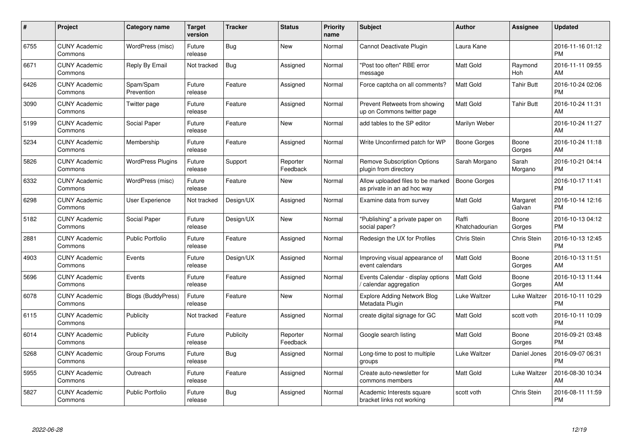| #    | Project                         | Category name            | Target<br>version | <b>Tracker</b> | <b>Status</b>        | <b>Priority</b><br>name | <b>Subject</b>                                                   | Author                  | <b>Assignee</b>       | <b>Updated</b>                |
|------|---------------------------------|--------------------------|-------------------|----------------|----------------------|-------------------------|------------------------------------------------------------------|-------------------------|-----------------------|-------------------------------|
| 6755 | <b>CUNY Academic</b><br>Commons | WordPress (misc)         | Future<br>release | Bug            | <b>New</b>           | Normal                  | Cannot Deactivate Plugin                                         | Laura Kane              |                       | 2016-11-16 01:12<br><b>PM</b> |
| 6671 | <b>CUNY Academic</b><br>Commons | Reply By Email           | Not tracked       | Bug            | Assigned             | Normal                  | 'Post too often" RBE error<br>message                            | <b>Matt Gold</b>        | Raymond<br><b>Hoh</b> | 2016-11-11 09:55<br>AM        |
| 6426 | <b>CUNY Academic</b><br>Commons | Spam/Spam<br>Prevention  | Future<br>release | Feature        | Assigned             | Normal                  | Force captcha on all comments?                                   | Matt Gold               | <b>Tahir Butt</b>     | 2016-10-24 02:06<br><b>PM</b> |
| 3090 | <b>CUNY Academic</b><br>Commons | Twitter page             | Future<br>release | Feature        | Assigned             | Normal                  | Prevent Retweets from showing<br>up on Commons twitter page      | <b>Matt Gold</b>        | <b>Tahir Butt</b>     | 2016-10-24 11:31<br>AM        |
| 5199 | <b>CUNY Academic</b><br>Commons | Social Paper             | Future<br>release | Feature        | <b>New</b>           | Normal                  | add tables to the SP editor                                      | Marilyn Weber           |                       | 2016-10-24 11:27<br>AM        |
| 5234 | <b>CUNY Academic</b><br>Commons | Membership               | Future<br>release | Feature        | Assigned             | Normal                  | Write Unconfirmed patch for WP                                   | <b>Boone Gorges</b>     | Boone<br>Gorges       | 2016-10-24 11:18<br>AM        |
| 5826 | <b>CUNY Academic</b><br>Commons | <b>WordPress Plugins</b> | Future<br>release | Support        | Reporter<br>Feedback | Normal                  | <b>Remove Subscription Options</b><br>plugin from directory      | Sarah Morgano           | Sarah<br>Morgano      | 2016-10-21 04:14<br><b>PM</b> |
| 6332 | <b>CUNY Academic</b><br>Commons | WordPress (misc)         | Future<br>release | Feature        | <b>New</b>           | Normal                  | Allow uploaded files to be marked<br>as private in an ad hoc way | <b>Boone Gorges</b>     |                       | 2016-10-17 11:41<br><b>PM</b> |
| 6298 | <b>CUNY Academic</b><br>Commons | <b>User Experience</b>   | Not tracked       | Design/UX      | Assigned             | Normal                  | Examine data from survey                                         | Matt Gold               | Margaret<br>Galvan    | 2016-10-14 12:16<br><b>PM</b> |
| 5182 | <b>CUNY Academic</b><br>Commons | Social Paper             | Future<br>release | Design/UX      | <b>New</b>           | Normal                  | 'Publishing" a private paper on<br>social paper?                 | Raffi<br>Khatchadourian | Boone<br>Gorges       | 2016-10-13 04:12<br><b>PM</b> |
| 2881 | <b>CUNY Academic</b><br>Commons | <b>Public Portfolio</b>  | Future<br>release | Feature        | Assigned             | Normal                  | Redesign the UX for Profiles                                     | <b>Chris Stein</b>      | Chris Stein           | 2016-10-13 12:45<br><b>PM</b> |
| 4903 | <b>CUNY Academic</b><br>Commons | Events                   | Future<br>release | Design/UX      | Assigned             | Normal                  | Improving visual appearance of<br>event calendars                | Matt Gold               | Boone<br>Gorges       | 2016-10-13 11:51<br>AM        |
| 5696 | <b>CUNY Academic</b><br>Commons | Events                   | Future<br>release | Feature        | Assigned             | Normal                  | Events Calendar - display options<br>calendar aggregation        | <b>Matt Gold</b>        | Boone<br>Gorges       | 2016-10-13 11:44<br>AM        |
| 6078 | <b>CUNY Academic</b><br>Commons | Blogs (BuddyPress)       | Future<br>release | Feature        | <b>New</b>           | Normal                  | <b>Explore Adding Network Blog</b><br>Metadata Plugin            | Luke Waltzer            | Luke Waltzer          | 2016-10-11 10:29<br><b>PM</b> |
| 6115 | <b>CUNY Academic</b><br>Commons | Publicity                | Not tracked       | Feature        | Assigned             | Normal                  | create digital signage for GC                                    | Matt Gold               | scott voth            | 2016-10-11 10:09<br><b>PM</b> |
| 6014 | <b>CUNY Academic</b><br>Commons | Publicity                | Future<br>release | Publicity      | Reporter<br>Feedback | Normal                  | Google search listing                                            | <b>Matt Gold</b>        | Boone<br>Gorges       | 2016-09-21 03:48<br><b>PM</b> |
| 5268 | <b>CUNY Academic</b><br>Commons | Group Forums             | Future<br>release | Bug            | Assigned             | Normal                  | Long-time to post to multiple<br>groups                          | Luke Waltzer            | Daniel Jones          | 2016-09-07 06:31<br><b>PM</b> |
| 5955 | <b>CUNY Academic</b><br>Commons | Outreach                 | Future<br>release | Feature        | Assigned             | Normal                  | Create auto-newsletter for<br>commons members                    | <b>Matt Gold</b>        | Luke Waltzer          | 2016-08-30 10:34<br>AM        |
| 5827 | <b>CUNY Academic</b><br>Commons | <b>Public Portfolio</b>  | Future<br>release | Bug            | Assigned             | Normal                  | Academic Interests square<br>bracket links not working           | scott voth              | Chris Stein           | 2016-08-11 11:59<br>PM        |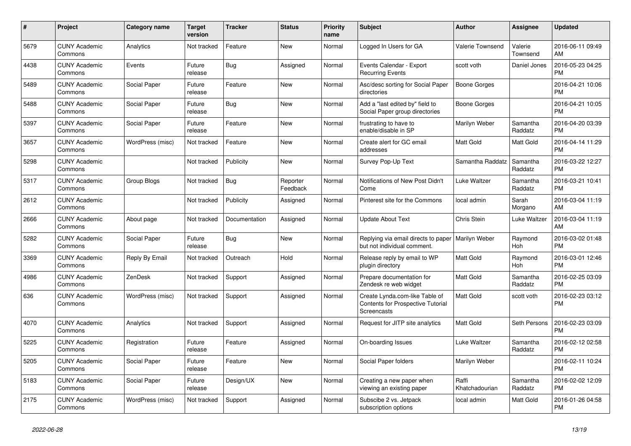| #    | <b>Project</b>                  | Category name    | <b>Target</b><br>version | <b>Tracker</b> | <b>Status</b>        | <b>Priority</b><br>name | <b>Subject</b>                                                                            | <b>Author</b>           | Assignee            | <b>Updated</b>                |
|------|---------------------------------|------------------|--------------------------|----------------|----------------------|-------------------------|-------------------------------------------------------------------------------------------|-------------------------|---------------------|-------------------------------|
| 5679 | <b>CUNY Academic</b><br>Commons | Analytics        | Not tracked              | Feature        | <b>New</b>           | Normal                  | Logged In Users for GA                                                                    | Valerie Townsend        | Valerie<br>Townsend | 2016-06-11 09:49<br>AM        |
| 4438 | <b>CUNY Academic</b><br>Commons | Events           | Future<br>release        | <b>Bug</b>     | Assigned             | Normal                  | Events Calendar - Export<br><b>Recurring Events</b>                                       | scott voth              | Daniel Jones        | 2016-05-23 04:25<br><b>PM</b> |
| 5489 | <b>CUNY Academic</b><br>Commons | Social Paper     | Future<br>release        | Feature        | <b>New</b>           | Normal                  | Asc/desc sorting for Social Paper<br>directories                                          | <b>Boone Gorges</b>     |                     | 2016-04-21 10:06<br><b>PM</b> |
| 5488 | <b>CUNY Academic</b><br>Commons | Social Paper     | Future<br>release        | <b>Bug</b>     | <b>New</b>           | Normal                  | Add a "last edited by" field to<br>Social Paper group directories                         | Boone Gorges            |                     | 2016-04-21 10:05<br><b>PM</b> |
| 5397 | <b>CUNY Academic</b><br>Commons | Social Paper     | Future<br>release        | Feature        | <b>New</b>           | Normal                  | frustrating to have to<br>enable/disable in SP                                            | Marilyn Weber           | Samantha<br>Raddatz | 2016-04-20 03:39<br><b>PM</b> |
| 3657 | <b>CUNY Academic</b><br>Commons | WordPress (misc) | Not tracked              | Feature        | <b>New</b>           | Normal                  | Create alert for GC email<br>addresses                                                    | Matt Gold               | Matt Gold           | 2016-04-14 11:29<br><b>PM</b> |
| 5298 | <b>CUNY Academic</b><br>Commons |                  | Not tracked              | Publicity      | <b>New</b>           | Normal                  | Survey Pop-Up Text                                                                        | Samantha Raddatz        | Samantha<br>Raddatz | 2016-03-22 12:27<br><b>PM</b> |
| 5317 | <b>CUNY Academic</b><br>Commons | Group Blogs      | Not tracked              | Bug            | Reporter<br>Feedback | Normal                  | Notifications of New Post Didn't<br>Come                                                  | Luke Waltzer            | Samantha<br>Raddatz | 2016-03-21 10:41<br><b>PM</b> |
| 2612 | <b>CUNY Academic</b><br>Commons |                  | Not tracked              | Publicity      | Assigned             | Normal                  | Pinterest site for the Commons                                                            | local admin             | Sarah<br>Morgano    | 2016-03-04 11:19<br>AM        |
| 2666 | <b>CUNY Academic</b><br>Commons | About page       | Not tracked              | Documentation  | Assigned             | Normal                  | Update About Text                                                                         | Chris Stein             | Luke Waltzer        | 2016-03-04 11:19<br>AM        |
| 5282 | <b>CUNY Academic</b><br>Commons | Social Paper     | Future<br>release        | Bug            | <b>New</b>           | Normal                  | Replying via email directs to paper   Marilyn Weber<br>but not individual comment.        |                         | Raymond<br>Hoh      | 2016-03-02 01:48<br><b>PM</b> |
| 3369 | <b>CUNY Academic</b><br>Commons | Reply By Email   | Not tracked              | Outreach       | Hold                 | Normal                  | Release reply by email to WP<br>plugin directory                                          | Matt Gold               | Raymond<br>Hoh      | 2016-03-01 12:46<br><b>PM</b> |
| 4986 | <b>CUNY Academic</b><br>Commons | ZenDesk          | Not tracked              | Support        | Assigned             | Normal                  | Prepare documentation for<br>Zendesk re web widget                                        | <b>Matt Gold</b>        | Samantha<br>Raddatz | 2016-02-25 03:09<br><b>PM</b> |
| 636  | <b>CUNY Academic</b><br>Commons | WordPress (misc) | Not tracked              | Support        | Assigned             | Normal                  | Create Lynda.com-like Table of<br><b>Contents for Prospective Tutorial</b><br>Screencasts | <b>Matt Gold</b>        | scott voth          | 2016-02-23 03:12<br><b>PM</b> |
| 4070 | <b>CUNY Academic</b><br>Commons | Analytics        | Not tracked              | Support        | Assigned             | Normal                  | Request for JITP site analytics                                                           | <b>Matt Gold</b>        | Seth Persons        | 2016-02-23 03:09<br><b>PM</b> |
| 5225 | <b>CUNY Academic</b><br>Commons | Registration     | Future<br>release        | Feature        | Assigned             | Normal                  | On-boarding Issues                                                                        | <b>Luke Waltzer</b>     | Samantha<br>Raddatz | 2016-02-12 02:58<br><b>PM</b> |
| 5205 | <b>CUNY Academic</b><br>Commons | Social Paper     | Future<br>release        | Feature        | <b>New</b>           | Normal                  | Social Paper folders                                                                      | Marilyn Weber           |                     | 2016-02-11 10:24<br><b>PM</b> |
| 5183 | <b>CUNY Academic</b><br>Commons | Social Paper     | Future<br>release        | Design/UX      | <b>New</b>           | Normal                  | Creating a new paper when<br>viewing an existing paper                                    | Raffi<br>Khatchadourian | Samantha<br>Raddatz | 2016-02-02 12:09<br><b>PM</b> |
| 2175 | <b>CUNY Academic</b><br>Commons | WordPress (misc) | Not tracked              | Support        | Assigned             | Normal                  | Subscibe 2 vs. Jetpack<br>subscription options                                            | local admin             | Matt Gold           | 2016-01-26 04:58<br><b>PM</b> |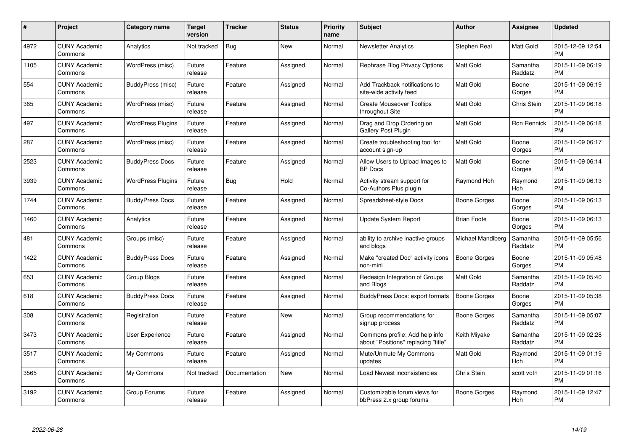| $\#$ | Project                         | <b>Category name</b>     | Target<br>version | <b>Tracker</b> | <b>Status</b> | <b>Priority</b><br>name | <b>Subject</b>                                                        | <b>Author</b>       | <b>Assignee</b>       | <b>Updated</b>                |
|------|---------------------------------|--------------------------|-------------------|----------------|---------------|-------------------------|-----------------------------------------------------------------------|---------------------|-----------------------|-------------------------------|
| 4972 | <b>CUNY Academic</b><br>Commons | Analytics                | Not tracked       | <b>Bug</b>     | <b>New</b>    | Normal                  | <b>Newsletter Analytics</b>                                           | Stephen Real        | <b>Matt Gold</b>      | 2015-12-09 12:54<br><b>PM</b> |
| 1105 | <b>CUNY Academic</b><br>Commons | WordPress (misc)         | Future<br>release | Feature        | Assigned      | Normal                  | Rephrase Blog Privacy Options                                         | <b>Matt Gold</b>    | Samantha<br>Raddatz   | 2015-11-09 06:19<br><b>PM</b> |
| 554  | <b>CUNY Academic</b><br>Commons | BuddyPress (misc)        | Future<br>release | Feature        | Assigned      | Normal                  | Add Trackback notifications to<br>site-wide activity feed             | <b>Matt Gold</b>    | Boone<br>Gorges       | 2015-11-09 06:19<br><b>PM</b> |
| 365  | <b>CUNY Academic</b><br>Commons | WordPress (misc)         | Future<br>release | Feature        | Assigned      | Normal                  | <b>Create Mouseover Tooltips</b><br>throughout Site                   | Matt Gold           | Chris Stein           | 2015-11-09 06:18<br><b>PM</b> |
| 497  | <b>CUNY Academic</b><br>Commons | <b>WordPress Plugins</b> | Future<br>release | Feature        | Assigned      | Normal                  | Drag and Drop Ordering on<br>Gallery Post Plugin                      | <b>Matt Gold</b>    | Ron Rennick           | 2015-11-09 06:18<br><b>PM</b> |
| 287  | <b>CUNY Academic</b><br>Commons | WordPress (misc)         | Future<br>release | Feature        | Assigned      | Normal                  | Create troubleshooting tool for<br>account sign-up                    | <b>Matt Gold</b>    | Boone<br>Gorges       | 2015-11-09 06:17<br><b>PM</b> |
| 2523 | <b>CUNY Academic</b><br>Commons | <b>BuddyPress Docs</b>   | Future<br>release | Feature        | Assigned      | Normal                  | Allow Users to Upload Images to<br><b>BP</b> Docs                     | <b>Matt Gold</b>    | Boone<br>Gorges       | 2015-11-09 06:14<br><b>PM</b> |
| 3939 | <b>CUNY Academic</b><br>Commons | <b>WordPress Plugins</b> | Future<br>release | Bug            | Hold          | Normal                  | Activity stream support for<br>Co-Authors Plus plugin                 | Raymond Hoh         | Raymond<br>Hoh        | 2015-11-09 06:13<br><b>PM</b> |
| 1744 | <b>CUNY Academic</b><br>Commons | <b>BuddyPress Docs</b>   | Future<br>release | Feature        | Assigned      | Normal                  | Spreadsheet-style Docs                                                | Boone Gorges        | Boone<br>Gorges       | 2015-11-09 06:13<br><b>PM</b> |
| 1460 | <b>CUNY Academic</b><br>Commons | Analytics                | Future<br>release | Feature        | Assigned      | Normal                  | Update System Report                                                  | <b>Brian Foote</b>  | Boone<br>Gorges       | 2015-11-09 06:13<br><b>PM</b> |
| 481  | <b>CUNY Academic</b><br>Commons | Groups (misc)            | Future<br>release | Feature        | Assigned      | Normal                  | ability to archive inactive groups<br>and blogs                       | Michael Mandiberg   | Samantha<br>Raddatz   | 2015-11-09 05:56<br><b>PM</b> |
| 1422 | <b>CUNY Academic</b><br>Commons | <b>BuddyPress Docs</b>   | Future<br>release | Feature        | Assigned      | Normal                  | Make "created Doc" activity icons<br>non-mini                         | <b>Boone Gorges</b> | Boone<br>Gorges       | 2015-11-09 05:48<br><b>PM</b> |
| 653  | <b>CUNY Academic</b><br>Commons | Group Blogs              | Future<br>release | Feature        | Assigned      | Normal                  | Redesign Integration of Groups<br>and Blogs                           | <b>Matt Gold</b>    | Samantha<br>Raddatz   | 2015-11-09 05:40<br><b>PM</b> |
| 618  | <b>CUNY Academic</b><br>Commons | <b>BuddyPress Docs</b>   | Future<br>release | Feature        | Assigned      | Normal                  | BuddyPress Docs: export formats                                       | Boone Gorges        | Boone<br>Gorges       | 2015-11-09 05:38<br><b>PM</b> |
| 308  | <b>CUNY Academic</b><br>Commons | Registration             | Future<br>release | Feature        | <b>New</b>    | Normal                  | Group recommendations for<br>signup process                           | Boone Gorges        | Samantha<br>Raddatz   | 2015-11-09 05:07<br><b>PM</b> |
| 3473 | <b>CUNY Academic</b><br>Commons | <b>User Experience</b>   | Future<br>release | Feature        | Assigned      | Normal                  | Commons profile: Add help info<br>about "Positions" replacing "title" | Keith Miyake        | Samantha<br>Raddatz   | 2015-11-09 02:28<br><b>PM</b> |
| 3517 | <b>CUNY Academic</b><br>Commons | My Commons               | Future<br>release | Feature        | Assigned      | Normal                  | Mute/Unmute My Commons<br>updates                                     | <b>Matt Gold</b>    | Raymond<br><b>Hoh</b> | 2015-11-09 01:19<br><b>PM</b> |
| 3565 | <b>CUNY Academic</b><br>Commons | My Commons               | Not tracked       | Documentation  | <b>New</b>    | Normal                  | Load Newest inconsistencies                                           | <b>Chris Stein</b>  | scott voth            | 2015-11-09 01:16<br><b>PM</b> |
| 3192 | CUNY Academic<br>Commons        | Group Forums             | Future<br>release | Feature        | Assigned      | Normal                  | Customizable forum views for<br>bbPress 2.x group forums              | Boone Gorges        | Raymond<br>Hoh        | 2015-11-09 12:47<br>PM        |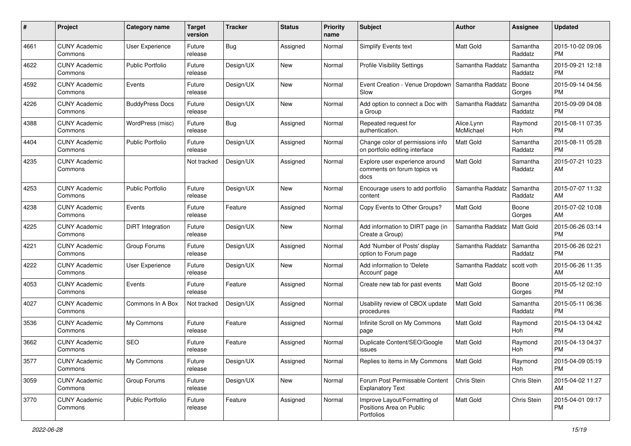| #    | Project                         | <b>Category name</b>    | <b>Target</b><br>version | <b>Tracker</b> | <b>Status</b> | <b>Priority</b><br>name | Subject                                                                | <b>Author</b>           | <b>Assignee</b>     | <b>Updated</b>                |
|------|---------------------------------|-------------------------|--------------------------|----------------|---------------|-------------------------|------------------------------------------------------------------------|-------------------------|---------------------|-------------------------------|
| 4661 | <b>CUNY Academic</b><br>Commons | <b>User Experience</b>  | Future<br>release        | Bug            | Assigned      | Normal                  | Simplify Events text                                                   | <b>Matt Gold</b>        | Samantha<br>Raddatz | 2015-10-02 09:06<br><b>PM</b> |
| 4622 | <b>CUNY Academic</b><br>Commons | <b>Public Portfolio</b> | Future<br>release        | Design/UX      | New           | Normal                  | Profile Visibility Settings                                            | Samantha Raddatz        | Samantha<br>Raddatz | 2015-09-21 12:18<br><b>PM</b> |
| 4592 | <b>CUNY Academic</b><br>Commons | Events                  | Future<br>release        | Design/UX      | New           | Normal                  | Event Creation - Venue Dropdown<br>Slow                                | Samantha Raddatz        | Boone<br>Gorges     | 2015-09-14 04:56<br><b>PM</b> |
| 4226 | <b>CUNY Academic</b><br>Commons | <b>BuddyPress Docs</b>  | Future<br>release        | Design/UX      | New           | Normal                  | Add option to connect a Doc with<br>a Group                            | Samantha Raddatz        | Samantha<br>Raddatz | 2015-09-09 04:08<br><b>PM</b> |
| 4388 | <b>CUNY Academic</b><br>Commons | WordPress (misc)        | Future<br>release        | <b>Bug</b>     | Assigned      | Normal                  | Repeated request for<br>authentication.                                | Alice.Lynn<br>McMichael | Raymond<br>Hoh      | 2015-08-11 07:35<br><b>PM</b> |
| 4404 | <b>CUNY Academic</b><br>Commons | <b>Public Portfolio</b> | Future<br>release        | Design/UX      | Assigned      | Normal                  | Change color of permissions info<br>on portfolio editing interface     | <b>Matt Gold</b>        | Samantha<br>Raddatz | 2015-08-11 05:28<br><b>PM</b> |
| 4235 | <b>CUNY Academic</b><br>Commons |                         | Not tracked              | Design/UX      | Assigned      | Normal                  | Explore user experience around<br>comments on forum topics vs<br>docs  | Matt Gold               | Samantha<br>Raddatz | 2015-07-21 10:23<br>AM        |
| 4253 | <b>CUNY Academic</b><br>Commons | <b>Public Portfolio</b> | Future<br>release        | Design/UX      | New           | Normal                  | Encourage users to add portfolio<br>content                            | Samantha Raddatz        | Samantha<br>Raddatz | 2015-07-07 11:32<br>AM        |
| 4238 | <b>CUNY Academic</b><br>Commons | Events                  | Future<br>release        | Feature        | Assigned      | Normal                  | Copy Events to Other Groups?                                           | Matt Gold               | Boone<br>Gorges     | 2015-07-02 10:08<br>AM        |
| 4225 | <b>CUNY Academic</b><br>Commons | DiRT Integration        | Future<br>release        | Design/UX      | New           | Normal                  | Add information to DIRT page (in<br>Create a Group)                    | Samantha Raddatz        | Matt Gold           | 2015-06-26 03:14<br><b>PM</b> |
| 4221 | <b>CUNY Academic</b><br>Commons | Group Forums            | Future<br>release        | Design/UX      | Assigned      | Normal                  | Add 'Number of Posts' display<br>option to Forum page                  | Samantha Raddatz        | Samantha<br>Raddatz | 2015-06-26 02:21<br><b>PM</b> |
| 4222 | <b>CUNY Academic</b><br>Commons | User Experience         | Future<br>release        | Design/UX      | <b>New</b>    | Normal                  | Add information to 'Delete<br>Account' page                            | Samantha Raddatz        | scott voth          | 2015-06-26 11:35<br>AM        |
| 4053 | <b>CUNY Academic</b><br>Commons | Events                  | Future<br>release        | Feature        | Assigned      | Normal                  | Create new tab for past events                                         | <b>Matt Gold</b>        | Boone<br>Gorges     | 2015-05-12 02:10<br><b>PM</b> |
| 4027 | <b>CUNY Academic</b><br>Commons | Commons In A Box        | Not tracked              | Design/UX      | Assigned      | Normal                  | Usability review of CBOX update<br>procedures                          | <b>Matt Gold</b>        | Samantha<br>Raddatz | 2015-05-11 06:36<br><b>PM</b> |
| 3536 | <b>CUNY Academic</b><br>Commons | My Commons              | Future<br>release        | Feature        | Assigned      | Normal                  | Infinite Scroll on My Commons<br>page                                  | Matt Gold               | Raymond<br>Hoh      | 2015-04-13 04:42<br><b>PM</b> |
| 3662 | <b>CUNY Academic</b><br>Commons | <b>SEO</b>              | Future<br>release        | Feature        | Assigned      | Normal                  | Duplicate Content/SEO/Google<br>issues                                 | Matt Gold               | Raymond<br>Hoh      | 2015-04-13 04:37<br><b>PM</b> |
| 3577 | <b>CUNY Academic</b><br>Commons | My Commons              | Future<br>release        | Design/UX      | Assigned      | Normal                  | Replies to items in My Commons                                         | Matt Gold               | Raymond<br>Hoh      | 2015-04-09 05:19<br>PM        |
| 3059 | <b>CUNY Academic</b><br>Commons | Group Forums            | Future<br>release        | Design/UX      | New           | Normal                  | Forum Post Permissable Content<br><b>Explanatory Text</b>              | Chris Stein             | Chris Stein         | 2015-04-02 11:27<br>AM        |
| 3770 | <b>CUNY Academic</b><br>Commons | Public Portfolio        | Future<br>release        | Feature        | Assigned      | Normal                  | Improve Layout/Formatting of<br>Positions Area on Public<br>Portfolios | Matt Gold               | Chris Stein         | 2015-04-01 09:17<br>PM        |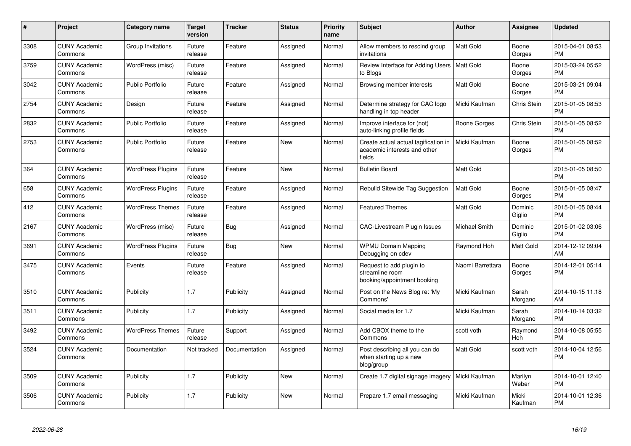| $\#$ | <b>Project</b>                  | Category name            | <b>Target</b><br>version | <b>Tracker</b> | <b>Status</b> | <b>Priority</b><br>name | <b>Subject</b>                                                                 | Author           | Assignee              | <b>Updated</b>                |
|------|---------------------------------|--------------------------|--------------------------|----------------|---------------|-------------------------|--------------------------------------------------------------------------------|------------------|-----------------------|-------------------------------|
| 3308 | <b>CUNY Academic</b><br>Commons | Group Invitations        | Future<br>release        | Feature        | Assigned      | Normal                  | Allow members to rescind group<br>invitations                                  | <b>Matt Gold</b> | Boone<br>Gorges       | 2015-04-01 08:53<br><b>PM</b> |
| 3759 | <b>CUNY Academic</b><br>Commons | WordPress (misc)         | Future<br>release        | Feature        | Assigned      | Normal                  | Review Interface for Adding Users   Matt Gold<br>to Blogs                      |                  | Boone<br>Gorges       | 2015-03-24 05:52<br><b>PM</b> |
| 3042 | <b>CUNY Academic</b><br>Commons | Public Portfolio         | Future<br>release        | Feature        | Assigned      | Normal                  | Browsing member interests                                                      | Matt Gold        | Boone<br>Gorges       | 2015-03-21 09:04<br><b>PM</b> |
| 2754 | <b>CUNY Academic</b><br>Commons | Design                   | Future<br>release        | Feature        | Assigned      | Normal                  | Determine strategy for CAC logo<br>handling in top header                      | Micki Kaufman    | Chris Stein           | 2015-01-05 08:53<br><b>PM</b> |
| 2832 | <b>CUNY Academic</b><br>Commons | <b>Public Portfolio</b>  | Future<br>release        | Feature        | Assigned      | Normal                  | Improve interface for (not)<br>auto-linking profile fields                     | Boone Gorges     | Chris Stein           | 2015-01-05 08:52<br><b>PM</b> |
| 2753 | <b>CUNY Academic</b><br>Commons | <b>Public Portfolio</b>  | Future<br>release        | Feature        | <b>New</b>    | Normal                  | Create actual actual tagification in<br>academic interests and other<br>fields | Micki Kaufman    | Boone<br>Gorges       | 2015-01-05 08:52<br><b>PM</b> |
| 364  | <b>CUNY Academic</b><br>Commons | <b>WordPress Plugins</b> | Future<br>release        | Feature        | <b>New</b>    | Normal                  | <b>Bulletin Board</b>                                                          | <b>Matt Gold</b> |                       | 2015-01-05 08:50<br><b>PM</b> |
| 658  | <b>CUNY Academic</b><br>Commons | <b>WordPress Plugins</b> | Future<br>release        | Feature        | Assigned      | Normal                  | Rebulid Sitewide Tag Suggestion                                                | Matt Gold        | Boone<br>Gorges       | 2015-01-05 08:47<br><b>PM</b> |
| 412  | <b>CUNY Academic</b><br>Commons | <b>WordPress Themes</b>  | Future<br>release        | Feature        | Assigned      | Normal                  | <b>Featured Themes</b>                                                         | <b>Matt Gold</b> | Dominic<br>Giglio     | 2015-01-05 08:44<br><b>PM</b> |
| 2167 | <b>CUNY Academic</b><br>Commons | WordPress (misc)         | Future<br>release        | <b>Bug</b>     | Assigned      | Normal                  | <b>CAC-Livestream Plugin Issues</b>                                            | Michael Smith    | Dominic<br>Giglio     | 2015-01-02 03:06<br><b>PM</b> |
| 3691 | <b>CUNY Academic</b><br>Commons | <b>WordPress Plugins</b> | Future<br>release        | <b>Bug</b>     | <b>New</b>    | Normal                  | <b>WPMU Domain Mapping</b><br>Debugging on cdev                                | Raymond Hoh      | Matt Gold             | 2014-12-12 09:04<br>AM        |
| 3475 | <b>CUNY Academic</b><br>Commons | Events                   | Future<br>release        | Feature        | Assigned      | Normal                  | Request to add plugin to<br>streamline room<br>booking/appointment booking     | Naomi Barrettara | Boone<br>Gorges       | 2014-12-01 05:14<br><b>PM</b> |
| 3510 | <b>CUNY Academic</b><br>Commons | Publicity                | 1.7                      | Publicity      | Assigned      | Normal                  | Post on the News Blog re: 'My<br>Commons'                                      | Micki Kaufman    | Sarah<br>Morgano      | 2014-10-15 11:18<br>AM        |
| 3511 | <b>CUNY Academic</b><br>Commons | Publicity                | 1.7                      | Publicity      | Assigned      | Normal                  | Social media for 1.7                                                           | Micki Kaufman    | Sarah<br>Morgano      | 2014-10-14 03:32<br><b>PM</b> |
| 3492 | <b>CUNY Academic</b><br>Commons | <b>WordPress Themes</b>  | Future<br>release        | Support        | Assigned      | Normal                  | Add CBOX theme to the<br>Commons                                               | scott voth       | Raymond<br><b>Hoh</b> | 2014-10-08 05:55<br><b>PM</b> |
| 3524 | <b>CUNY Academic</b><br>Commons | Documentation            | Not tracked              | Documentation  | Assigned      | Normal                  | Post describing all you can do<br>when starting up a new<br>blog/group         | Matt Gold        | scott voth            | 2014-10-04 12:56<br><b>PM</b> |
| 3509 | <b>CUNY Academic</b><br>Commons | Publicity                | 1.7                      | Publicity      | <b>New</b>    | Normal                  | Create 1.7 digital signage imagery                                             | Micki Kaufman    | Marilyn<br>Weber      | 2014-10-01 12:40<br><b>PM</b> |
| 3506 | <b>CUNY Academic</b><br>Commons | Publicity                | 1.7                      | Publicity      | <b>New</b>    | Normal                  | Prepare 1.7 email messaging                                                    | Micki Kaufman    | Micki<br>Kaufman      | 2014-10-01 12:36<br><b>PM</b> |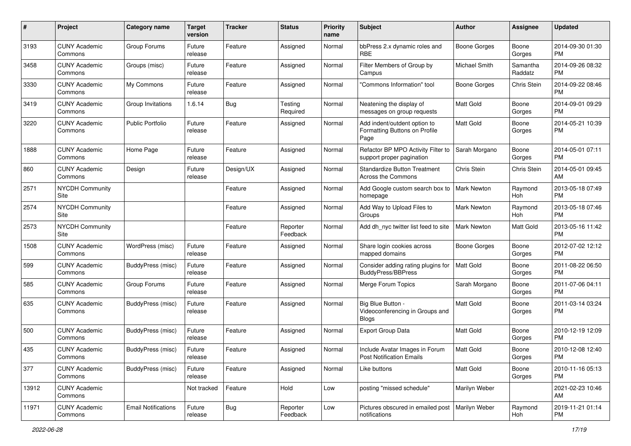| #     | Project                         | <b>Category name</b>       | <b>Target</b><br>version | <b>Tracker</b> | <b>Status</b>        | <b>Priority</b><br>name | Subject                                                               | Author             | <b>Assignee</b>     | <b>Updated</b>                |
|-------|---------------------------------|----------------------------|--------------------------|----------------|----------------------|-------------------------|-----------------------------------------------------------------------|--------------------|---------------------|-------------------------------|
| 3193  | <b>CUNY Academic</b><br>Commons | Group Forums               | Future<br>release        | Feature        | Assigned             | Normal                  | bbPress 2.x dynamic roles and<br><b>RBE</b>                           | Boone Gorges       | Boone<br>Gorges     | 2014-09-30 01:30<br><b>PM</b> |
| 3458  | <b>CUNY Academic</b><br>Commons | Groups (misc)              | Future<br>release        | Feature        | Assigned             | Normal                  | Filter Members of Group by<br>Campus                                  | Michael Smith      | Samantha<br>Raddatz | 2014-09-26 08:32<br><b>PM</b> |
| 3330  | <b>CUNY Academic</b><br>Commons | My Commons                 | Future<br>release        | Feature        | Assigned             | Normal                  | 'Commons Information" tool                                            | Boone Gorges       | Chris Stein         | 2014-09-22 08:46<br><b>PM</b> |
| 3419  | <b>CUNY Academic</b><br>Commons | Group Invitations          | 1.6.14                   | Bug            | Testing<br>Required  | Normal                  | Neatening the display of<br>messages on group requests                | <b>Matt Gold</b>   | Boone<br>Gorges     | 2014-09-01 09:29<br><b>PM</b> |
| 3220  | <b>CUNY Academic</b><br>Commons | <b>Public Portfolio</b>    | Future<br>release        | Feature        | Assigned             | Normal                  | Add indent/outdent option to<br>Formatting Buttons on Profile<br>Page | <b>Matt Gold</b>   | Boone<br>Gorges     | 2014-05-21 10:39<br><b>PM</b> |
| 1888  | <b>CUNY Academic</b><br>Commons | Home Page                  | Future<br>release        | Feature        | Assigned             | Normal                  | Refactor BP MPO Activity Filter to<br>support proper pagination       | Sarah Morgano      | Boone<br>Gorges     | 2014-05-01 07:11<br><b>PM</b> |
| 860   | <b>CUNY Academic</b><br>Commons | Design                     | Future<br>release        | Design/UX      | Assigned             | Normal                  | <b>Standardize Button Treatment</b><br>Across the Commons             | Chris Stein        | Chris Stein         | 2014-05-01 09:45<br>AM        |
| 2571  | <b>NYCDH Community</b><br>Site  |                            |                          | Feature        | Assigned             | Normal                  | Add Google custom search box to   Mark Newton<br>homepage             |                    | Raymond<br>Hoh      | 2013-05-18 07:49<br><b>PM</b> |
| 2574  | <b>NYCDH Community</b><br>Site  |                            |                          | Feature        | Assigned             | Normal                  | Add Way to Upload Files to<br>Groups                                  | <b>Mark Newton</b> | Raymond<br>Hoh      | 2013-05-18 07:46<br><b>PM</b> |
| 2573  | <b>NYCDH Community</b><br>Site  |                            |                          | Feature        | Reporter<br>Feedback | Normal                  | Add dh_nyc twitter list feed to site                                  | <b>Mark Newton</b> | Matt Gold           | 2013-05-16 11:42<br><b>PM</b> |
| 1508  | <b>CUNY Academic</b><br>Commons | WordPress (misc)           | Future<br>release        | Feature        | Assigned             | Normal                  | Share login cookies across<br>mapped domains                          | Boone Gorges       | Boone<br>Gorges     | 2012-07-02 12:12<br><b>PM</b> |
| 599   | <b>CUNY Academic</b><br>Commons | BuddyPress (misc)          | Future<br>release        | Feature        | Assigned             | Normal                  | Consider adding rating plugins for<br><b>BuddyPress/BBPress</b>       | <b>Matt Gold</b>   | Boone<br>Gorges     | 2011-08-22 06:50<br><b>PM</b> |
| 585   | <b>CUNY Academic</b><br>Commons | Group Forums               | Future<br>release        | Feature        | Assigned             | Normal                  | Merge Forum Topics                                                    | Sarah Morgano      | Boone<br>Gorges     | 2011-07-06 04:11<br><b>PM</b> |
| 635   | <b>CUNY Academic</b><br>Commons | BuddyPress (misc)          | Future<br>release        | Feature        | Assigned             | Normal                  | Big Blue Button -<br>Videoconferencing in Groups and<br><b>Blogs</b>  | Matt Gold          | Boone<br>Gorges     | 2011-03-14 03:24<br><b>PM</b> |
| 500   | <b>CUNY Academic</b><br>Commons | BuddyPress (misc)          | Future<br>release        | Feature        | Assigned             | Normal                  | Export Group Data                                                     | Matt Gold          | Boone<br>Gorges     | 2010-12-19 12:09<br><b>PM</b> |
| 435   | <b>CUNY Academic</b><br>Commons | BuddyPress (misc)          | Future<br>release        | Feature        | Assigned             | Normal                  | Include Avatar Images in Forum<br>Post Notification Emails            | Matt Gold          | Boone<br>Gorges     | 2010-12-08 12:40<br>PM        |
| 377   | <b>CUNY Academic</b><br>Commons | BuddyPress (misc)          | Future<br>release        | Feature        | Assigned             | Normal                  | Like buttons                                                          | Matt Gold          | Boone<br>Gorges     | 2010-11-16 05:13<br><b>PM</b> |
| 13912 | <b>CUNY Academic</b><br>Commons |                            | Not tracked              | Feature        | Hold                 | Low                     | posting "missed schedule"                                             | Marilyn Weber      |                     | 2021-02-23 10:46<br>AM        |
| 11971 | <b>CUNY Academic</b><br>Commons | <b>Email Notifications</b> | Future<br>release        | <b>Bug</b>     | Reporter<br>Feedback | Low                     | Pictures obscured in emailed post<br>notifications                    | Marilyn Weber      | Raymond<br>Hoh      | 2019-11-21 01:14<br><b>PM</b> |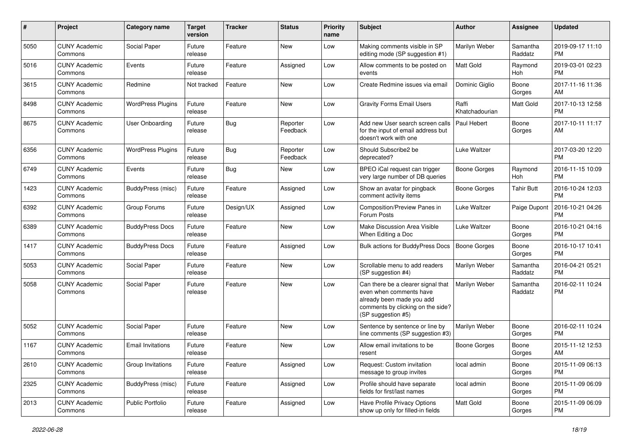| #    | Project                         | Category name            | <b>Target</b><br>version | <b>Tracker</b> | <b>Status</b>        | <b>Priority</b><br>name | Subject                                                                                                                                               | <b>Author</b>           | <b>Assignee</b>     | <b>Updated</b>                |
|------|---------------------------------|--------------------------|--------------------------|----------------|----------------------|-------------------------|-------------------------------------------------------------------------------------------------------------------------------------------------------|-------------------------|---------------------|-------------------------------|
| 5050 | <b>CUNY Academic</b><br>Commons | Social Paper             | Future<br>release        | Feature        | <b>New</b>           | Low                     | Making comments visible in SP<br>editing mode (SP suggestion #1)                                                                                      | Marilyn Weber           | Samantha<br>Raddatz | 2019-09-17 11:10<br><b>PM</b> |
| 5016 | <b>CUNY Academic</b><br>Commons | Events                   | Future<br>release        | Feature        | Assigned             | Low                     | Allow comments to be posted on<br>events                                                                                                              | <b>Matt Gold</b>        | Raymond<br>Hoh      | 2019-03-01 02:23<br><b>PM</b> |
| 3615 | <b>CUNY Academic</b><br>Commons | Redmine                  | Not tracked              | Feature        | New                  | Low                     | Create Redmine issues via email                                                                                                                       | Dominic Giglio          | Boone<br>Gorges     | 2017-11-16 11:36<br>AM        |
| 8498 | <b>CUNY Academic</b><br>Commons | <b>WordPress Plugins</b> | Future<br>release        | Feature        | <b>New</b>           | Low                     | <b>Gravity Forms Email Users</b>                                                                                                                      | Raffi<br>Khatchadourian | <b>Matt Gold</b>    | 2017-10-13 12:58<br><b>PM</b> |
| 8675 | <b>CUNY Academic</b><br>Commons | User Onboarding          | Future<br>release        | <b>Bug</b>     | Reporter<br>Feedback | Low                     | Add new User search screen calls<br>for the input of email address but<br>doesn't work with one                                                       | Paul Hebert             | Boone<br>Gorges     | 2017-10-11 11:17<br>AM        |
| 6356 | <b>CUNY Academic</b><br>Commons | <b>WordPress Plugins</b> | Future<br>release        | Bug            | Reporter<br>Feedback | Low                     | Should Subscribe2 be<br>deprecated?                                                                                                                   | Luke Waltzer            |                     | 2017-03-20 12:20<br><b>PM</b> |
| 6749 | <b>CUNY Academic</b><br>Commons | Events                   | Future<br>release        | Bug            | New                  | Low                     | BPEO iCal request can trigger<br>very large number of DB queries                                                                                      | <b>Boone Gorges</b>     | Raymond<br>Hoh      | 2016-11-15 10:09<br><b>PM</b> |
| 1423 | <b>CUNY Academic</b><br>Commons | BuddyPress (misc)        | Future<br>release        | Feature        | Assigned             | Low                     | Show an avatar for pingback<br>comment activity items                                                                                                 | <b>Boone Gorges</b>     | <b>Tahir Butt</b>   | 2016-10-24 12:03<br><b>PM</b> |
| 6392 | <b>CUNY Academic</b><br>Commons | Group Forums             | Future<br>release        | Design/UX      | Assigned             | Low                     | Composition/Preview Panes in<br>Forum Posts                                                                                                           | <b>Luke Waltzer</b>     | Paige Dupont        | 2016-10-21 04:26<br><b>PM</b> |
| 6389 | <b>CUNY Academic</b><br>Commons | <b>BuddyPress Docs</b>   | Future<br>release        | Feature        | New                  | Low                     | Make Discussion Area Visible<br>When Editing a Doc                                                                                                    | <b>Luke Waltzer</b>     | Boone<br>Gorges     | 2016-10-21 04:16<br><b>PM</b> |
| 1417 | <b>CUNY Academic</b><br>Commons | <b>BuddyPress Docs</b>   | Future<br>release        | Feature        | Assigned             | Low                     | Bulk actions for BuddyPress Docs                                                                                                                      | <b>Boone Gorges</b>     | Boone<br>Gorges     | 2016-10-17 10:41<br><b>PM</b> |
| 5053 | <b>CUNY Academic</b><br>Commons | Social Paper             | Future<br>release        | Feature        | <b>New</b>           | Low                     | Scrollable menu to add readers<br>(SP suggestion #4)                                                                                                  | Marilyn Weber           | Samantha<br>Raddatz | 2016-04-21 05:21<br><b>PM</b> |
| 5058 | <b>CUNY Academic</b><br>Commons | Social Paper             | Future<br>release        | Feature        | New                  | Low                     | Can there be a clearer signal that<br>even when comments have<br>already been made you add<br>comments by clicking on the side?<br>(SP suggestion #5) | Marilyn Weber           | Samantha<br>Raddatz | 2016-02-11 10:24<br><b>PM</b> |
| 5052 | <b>CUNY Academic</b><br>Commons | Social Paper             | Future<br>release        | Feature        | New                  | Low                     | Sentence by sentence or line by<br>line comments (SP suggestion #3)                                                                                   | Marilyn Weber           | Boone<br>Gorges     | 2016-02-11 10:24<br><b>PM</b> |
| 1167 | <b>CUNY Academic</b><br>Commons | <b>Email Invitations</b> | Future<br>release        | Feature        | <b>New</b>           | Low                     | Allow email invitations to be<br>resent                                                                                                               | <b>Boone Gorges</b>     | Boone<br>Gorges     | 2015-11-12 12:53<br>AM        |
| 2610 | <b>CUNY Academic</b><br>Commons | Group Invitations        | Future<br>release        | Feature        | Assigned             | Low                     | Request: Custom invitation<br>message to group invites                                                                                                | local admin             | Boone<br>Gorges     | 2015-11-09 06:13<br><b>PM</b> |
| 2325 | <b>CUNY Academic</b><br>Commons | <b>BuddyPress (misc)</b> | Future<br>release        | Feature        | Assigned             | Low                     | Profile should have separate<br>fields for first/last names                                                                                           | local admin             | Boone<br>Gorges     | 2015-11-09 06:09<br><b>PM</b> |
| 2013 | <b>CUNY Academic</b><br>Commons | Public Portfolio         | Future<br>release        | Feature        | Assigned             | Low                     | Have Profile Privacy Options<br>show up only for filled-in fields                                                                                     | Matt Gold               | Boone<br>Gorges     | 2015-11-09 06:09<br><b>PM</b> |